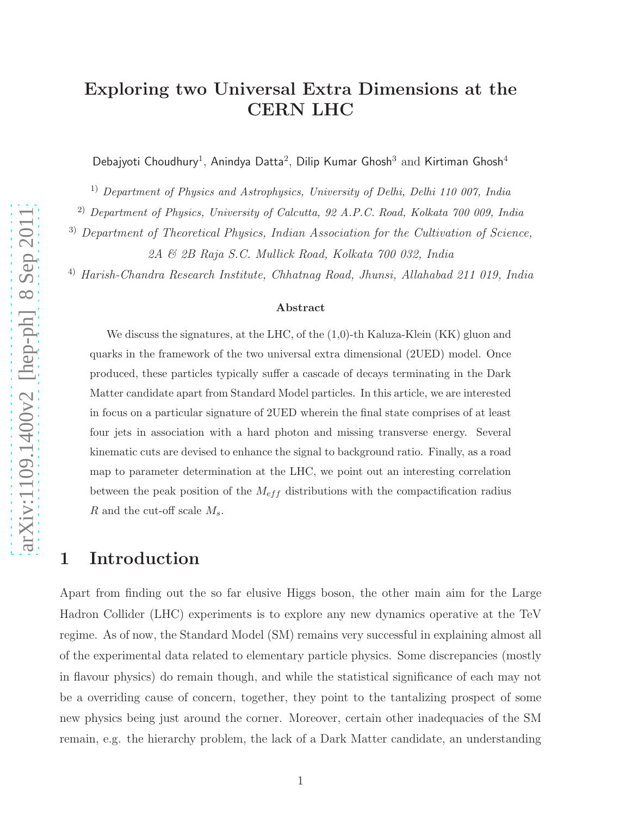# Exploring two Universal Extra Dimensions at the CERN LHC

Debajyoti Choudhury<sup>1</sup>, Anindya Datta<sup>2</sup>, Dilip Kumar Ghosh<sup>3</sup> and Kirtiman Ghosh<sup>4</sup>

<sup>1)</sup> Department of Physics and Astrophysics, University of Delhi, Delhi 110 007, India

2) Department of Physics, University of Calcutta, 92 A.P.C. Road, Kolkata 700 009, India

<sup>3)</sup> Department of Theoretical Physics, Indian Association for the Cultivation of Science,

2A & 2B Raja S.C. Mullick Road, Kolkata 700 032, India

4) Harish-Chandra Research Institute, Chhatnag Road, Jhunsi, Allahabad 211 019, India

#### Abstract

We discuss the signatures, at the LHC, of the  $(1,0)$ -th Kaluza-Klein (KK) gluon and quarks in the framework of the two universal extra dimensional (2UED) model. Once produced, these particles typically suffer a cascade of decays terminating in the Dark Matter candidate apart from Standard Model particles. In this article, we are interested in focus on a particular signature of 2UED wherein the final state comprises of at least four jets in association with a hard photon and missing transverse energy. Several kinematic cuts are devised to enhance the signal to background ratio. Finally, as a road map to parameter determination at the LHC, we point out an interesting correlation between the peak position of the  $M_{eff}$  distributions with the compactification radius R and the cut-off scale  $M_s$ .

### 1 Introduction

Apart from finding out the so far elusive Higgs boson, the other main aim for the Large Hadron Collider (LHC) experiments is to explore any new dynamics operative at the TeV regime. As of now, the Standard Model (SM) remains very successful in explaining almost all of the experimental data related to elementary particle physics. Some discrepancies (mostly in flavour physics) do remain though, and while the statistical significance of each may not be a overriding cause of concern, together, they point to the tantalizing prospect of some new physics being just around the corner. Moreover, certain other inadequacies of the SM remain, e.g. the hierarchy problem, the lack of a Dark Matter candidate, an understanding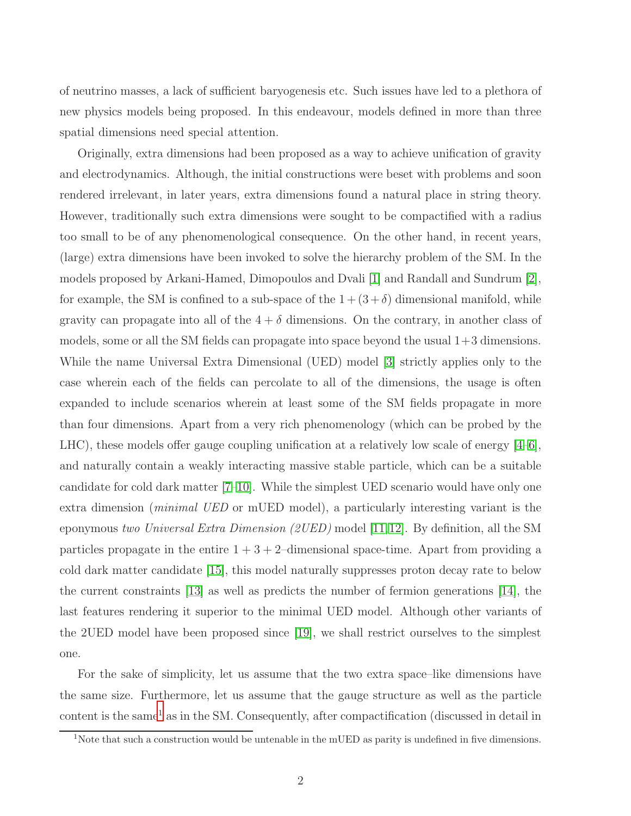of neutrino masses, a lack of sufficient baryogenesis etc. Such issues have led to a plethora of new physics models being proposed. In this endeavour, models defined in more than three spatial dimensions need special attention.

Originally, extra dimensions had been proposed as a way to achieve unification of gravity and electrodynamics. Although, the initial constructions were beset with problems and soon rendered irrelevant, in later years, extra dimensions found a natural place in string theory. However, traditionally such extra dimensions were sought to be compactified with a radius too small to be of any phenomenological consequence. On the other hand, in recent years, (large) extra dimensions have been invoked to solve the hierarchy problem of the SM. In the models proposed by Arkani-Hamed, Dimopoulos and Dvali [\[1\]](#page-26-0) and Randall and Sundrum [\[2\]](#page-26-1), for example, the SM is confined to a sub-space of the  $1 + (3 + \delta)$  dimensional manifold, while gravity can propagate into all of the  $4 + \delta$  dimensions. On the contrary, in another class of models, some or all the SM fields can propagate into space beyond the usual 1+3 dimensions. While the name Universal Extra Dimensional (UED) model [\[3\]](#page-26-2) strictly applies only to the case wherein each of the fields can percolate to all of the dimensions, the usage is often expanded to include scenarios wherein at least some of the SM fields propagate in more than four dimensions. Apart from a very rich phenomenology (which can be probed by the LHC), these models offer gauge coupling unification at a relatively low scale of energy [\[4](#page-26-3)[–6\]](#page-26-4), and naturally contain a weakly interacting massive stable particle, which can be a suitable candidate for cold dark matter [\[7](#page-27-0)[–10\]](#page-27-1). While the simplest UED scenario would have only one extra dimension (*minimal UED* or mUED model), a particularly interesting variant is the eponymous two Universal Extra Dimension (2UED) model [\[11,](#page-27-2)[12\]](#page-27-3). By definition, all the SM particles propagate in the entire  $1 + 3 + 2$ –dimensional space-time. Apart from providing a cold dark matter candidate [\[15\]](#page-27-4), this model naturally suppresses proton decay rate to below the current constraints [\[13\]](#page-27-5) as well as predicts the number of fermion generations [\[14\]](#page-27-6), the last features rendering it superior to the minimal UED model. Although other variants of the 2UED model have been proposed since [\[19\]](#page-27-7), we shall restrict ourselves to the simplest one.

For the sake of simplicity, let us assume that the two extra space–like dimensions have the same size. Furthermore, let us assume that the gauge structure as well as the particle content is the same<sup>[1](#page-1-0)</sup> as in the SM. Consequently, after compactification (discussed in detail in

<span id="page-1-0"></span><sup>&</sup>lt;sup>1</sup>Note that such a construction would be untenable in the mUED as parity is undefined in five dimensions.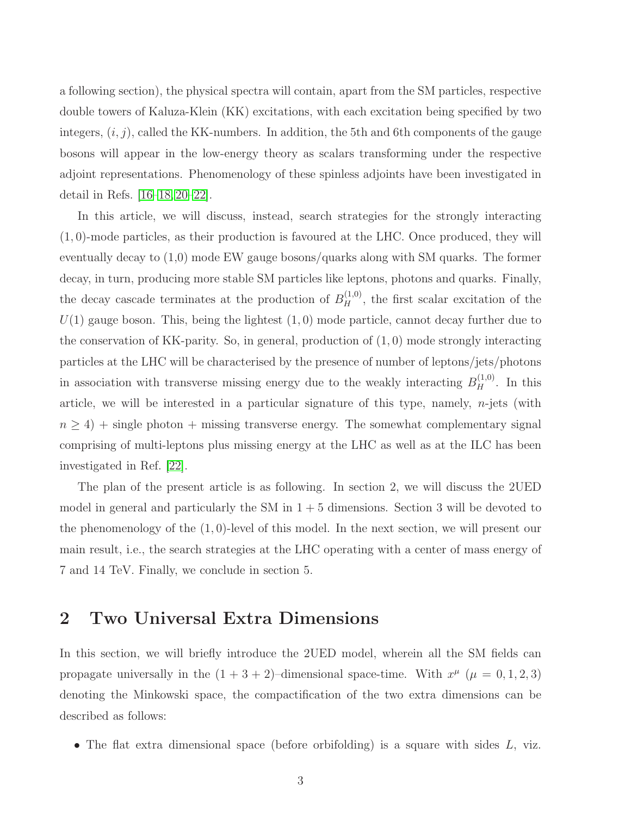a following section), the physical spectra will contain, apart from the SM particles, respective double towers of Kaluza-Klein (KK) excitations, with each excitation being specified by two integers,  $(i, j)$ , called the KK-numbers. In addition, the 5th and 6th components of the gauge bosons will appear in the low-energy theory as scalars transforming under the respective adjoint representations. Phenomenology of these spinless adjoints have been investigated in detail in Refs. [\[16](#page-27-8)[–18,](#page-27-9) [20](#page-27-10)[–22\]](#page-27-11).

In this article, we will discuss, instead, search strategies for the strongly interacting (1, 0)-mode particles, as their production is favoured at the LHC. Once produced, they will eventually decay to (1,0) mode EW gauge bosons/quarks along with SM quarks. The former decay, in turn, producing more stable SM particles like leptons, photons and quarks. Finally, the decay cascade terminates at the production of  $B<sub>H</sub><sup>(1,0)</sup>$ , the first scalar excitation of the  $U(1)$  gauge boson. This, being the lightest  $(1, 0)$  mode particle, cannot decay further due to the conservation of KK-parity. So, in general, production of  $(1,0)$  mode strongly interacting particles at the LHC will be characterised by the presence of number of leptons/jets/photons in association with transverse missing energy due to the weakly interacting  $B<sub>H</sub><sup>(1,0)</sup>$ . In this article, we will be interested in a particular signature of this type, namely,  $n$ -jets (with  $n \geq 4$ ) + single photon + missing transverse energy. The somewhat complementary signal comprising of multi-leptons plus missing energy at the LHC as well as at the ILC has been investigated in Ref. [\[22\]](#page-27-11).

The plan of the present article is as following. In section 2, we will discuss the 2UED model in general and particularly the SM in  $1 + 5$  dimensions. Section 3 will be devoted to the phenomenology of the (1, 0)-level of this model. In the next section, we will present our main result, i.e., the search strategies at the LHC operating with a center of mass energy of 7 and 14 TeV. Finally, we conclude in section 5.

### 2 Two Universal Extra Dimensions

In this section, we will briefly introduce the 2UED model, wherein all the SM fields can propagate universally in the  $(1 + 3 + 2)$ -dimensional space-time. With  $x^{\mu}$  ( $\mu = 0, 1, 2, 3$ ) denoting the Minkowski space, the compactification of the two extra dimensions can be described as follows:

• The flat extra dimensional space (before orbifolding) is a square with sides  $L$ , viz.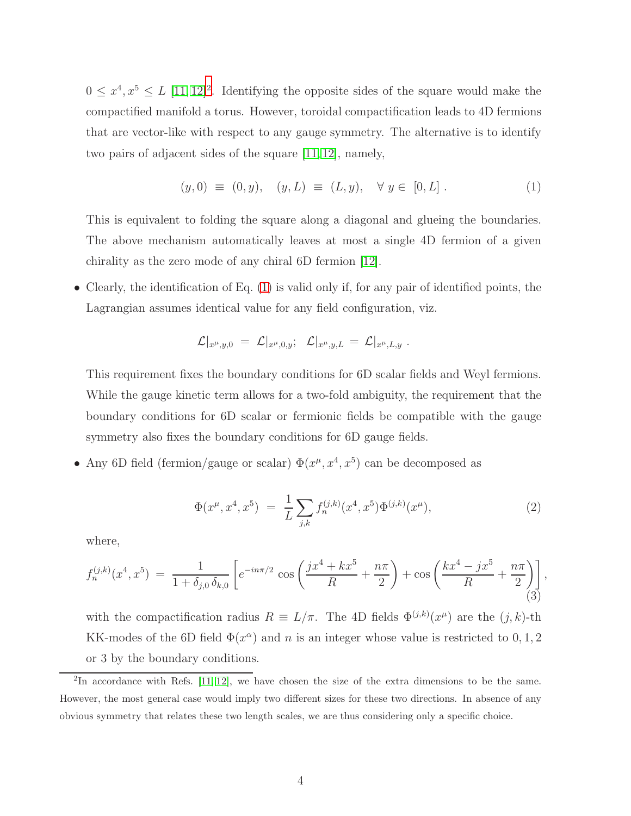$0 \leq x^4, x^5 \leq L$  [\[11,](#page-27-2) [12\]](#page-27-3)<sup>[2](#page-3-0)</sup>. Identifying the opposite sides of the square would make the compactified manifold a torus. However, toroidal compactification leads to 4D fermions that are vector-like with respect to any gauge symmetry. The alternative is to identify two pairs of adjacent sides of the square [\[11,](#page-27-2) [12\]](#page-27-3), namely,

<span id="page-3-1"></span>
$$
(y,0) \equiv (0,y), \quad (y,L) \equiv (L,y), \quad \forall \ y \in [0,L] . \tag{1}
$$

This is equivalent to folding the square along a diagonal and glueing the boundaries. The above mechanism automatically leaves at most a single 4D fermion of a given chirality as the zero mode of any chiral 6D fermion [\[12\]](#page-27-3).

• Clearly, the identification of Eq. [\(1\)](#page-3-1) is valid only if, for any pair of identified points, the Lagrangian assumes identical value for any field configuration, viz.

$$
\mathcal{L}|_{x^\mu,y,0}\ =\ \mathcal{L}|_{x^\mu,0,y};\quad \mathcal{L}|_{x^\mu,y,L}\ =\ \mathcal{L}|_{x^\mu,L,y}\ .
$$

This requirement fixes the boundary conditions for 6D scalar fields and Weyl fermions. While the gauge kinetic term allows for a two-fold ambiguity, the requirement that the boundary conditions for 6D scalar or fermionic fields be compatible with the gauge symmetry also fixes the boundary conditions for 6D gauge fields.

• Any 6D field (fermion/gauge or scalar)  $\Phi(x^{\mu}, x^4, x^5)$  can be decomposed as

$$
\Phi(x^{\mu}, x^4, x^5) = \frac{1}{L} \sum_{j,k} f_n^{(j,k)}(x^4, x^5) \Phi^{(j,k)}(x^{\mu}), \tag{2}
$$

where,

$$
f_n^{(j,k)}(x^4, x^5) = \frac{1}{1 + \delta_{j,0} \delta_{k,0}} \left[ e^{-in\pi/2} \cos\left(\frac{jx^4 + kx^5}{R} + \frac{n\pi}{2}\right) + \cos\left(\frac{kx^4 - jx^5}{R} + \frac{n\pi}{2}\right) \right],
$$
\n(3)

with the compactification radius  $R \equiv L/\pi$ . The 4D fields  $\Phi^{(j,k)}(x^{\mu})$  are the  $(j,k)$ -th KK-modes of the 6D field  $\Phi(x^{\alpha})$  and n is an integer whose value is restricted to 0, 1, 2 or 3 by the boundary conditions.

<span id="page-3-0"></span> ${}^{2}\text{In}$  accordance with Refs. [\[11,](#page-27-2) [12\]](#page-27-3), we have chosen the size of the extra dimensions to be the same. However, the most general case would imply two different sizes for these two directions. In absence of any obvious symmetry that relates these two length scales, we are thus considering only a specific choice.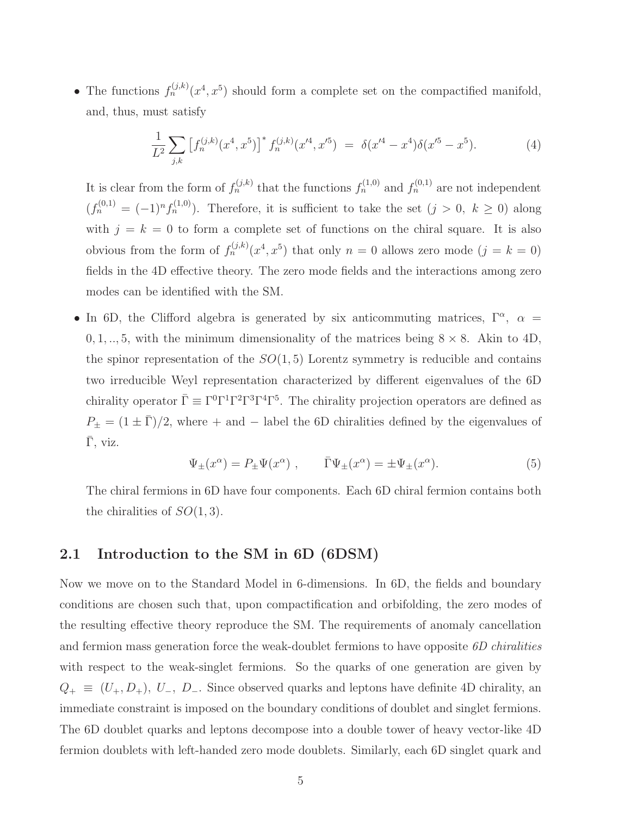• The functions  $f_n^{(j,k)}(x^4, x^5)$  should form a complete set on the compactified manifold, and, thus, must satisfy

$$
\frac{1}{L^2} \sum_{j,k} \left[ f_n^{(j,k)}(x^4, x^5) \right]^* f_n^{(j,k)}(x^{\prime 4}, x^{\prime 5}) = \delta(x^{\prime 4} - x^4) \delta(x^{\prime 5} - x^5). \tag{4}
$$

It is clear from the form of  $f_n^{(j,k)}$  that the functions  $f_n^{(1,0)}$  and  $f_n^{(0,1)}$  are not independent  $(f_n^{(0,1)} = (-1)^n f_n^{(1,0)}$ . Therefore, it is sufficient to take the set  $(j > 0, k \ge 0)$  along with  $j = k = 0$  to form a complete set of functions on the chiral square. It is also obvious from the form of  $f_n^{(j,k)}(x^4, x^5)$  that only  $n = 0$  allows zero mode  $(j = k = 0)$ fields in the 4D effective theory. The zero mode fields and the interactions among zero modes can be identified with the SM.

• In 6D, the Clifford algebra is generated by six anticommuting matrices,  $\Gamma^{\alpha}$ ,  $\alpha$  =  $0, 1, \ldots, 5$ , with the minimum dimensionality of the matrices being  $8 \times 8$ . Akin to 4D, the spinor representation of the  $SO(1,5)$  Lorentz symmetry is reducible and contains two irreducible Weyl representation characterized by different eigenvalues of the 6D chirality operator  $\bar{\Gamma} \equiv \Gamma^0 \Gamma^1 \Gamma^2 \Gamma^3 \Gamma^4 \Gamma^5$ . The chirality projection operators are defined as  $P_{\pm} = (1 \pm \bar{\Gamma})/2$ , where + and - label the 6D chiralities defined by the eigenvalues of  $\bar{\Gamma}$ , viz.

$$
\Psi_{\pm}(x^{\alpha}) = P_{\pm}\Psi(x^{\alpha}) , \qquad \bar{\Gamma}\Psi_{\pm}(x^{\alpha}) = \pm \Psi_{\pm}(x^{\alpha}). \tag{5}
$$

The chiral fermions in 6D have four components. Each 6D chiral fermion contains both the chiralities of  $SO(1,3)$ .

#### 2.1 Introduction to the SM in 6D (6DSM)

Now we move on to the Standard Model in 6-dimensions. In 6D, the fields and boundary conditions are chosen such that, upon compactification and orbifolding, the zero modes of the resulting effective theory reproduce the SM. The requirements of anomaly cancellation and fermion mass generation force the weak-doublet fermions to have opposite 6D chiralities with respect to the weak-singlet fermions. So the quarks of one generation are given by  $Q_+ \equiv (U_+, D_+), U_-, D_-.$  Since observed quarks and leptons have definite 4D chirality, an immediate constraint is imposed on the boundary conditions of doublet and singlet fermions. The 6D doublet quarks and leptons decompose into a double tower of heavy vector-like 4D fermion doublets with left-handed zero mode doublets. Similarly, each 6D singlet quark and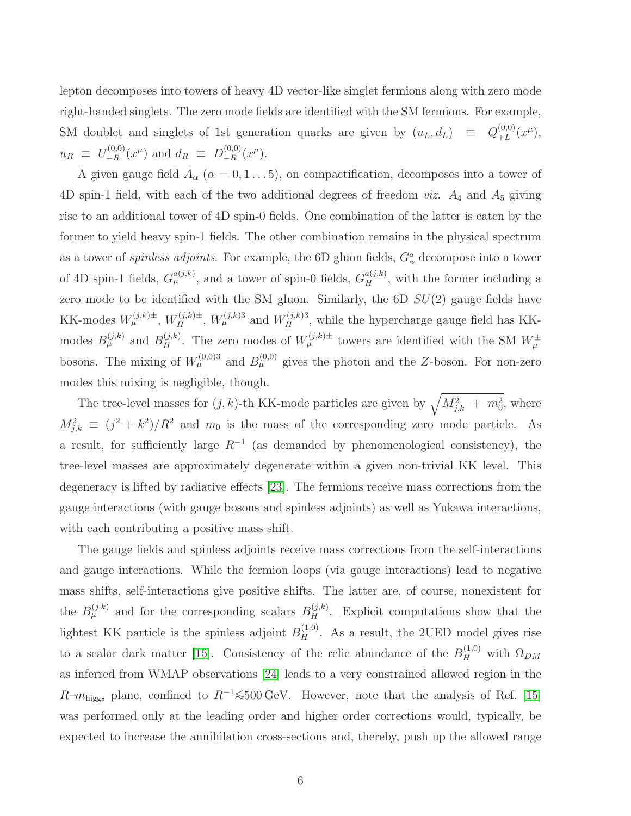lepton decomposes into towers of heavy 4D vector-like singlet fermions along with zero mode right-handed singlets. The zero mode fields are identified with the SM fermions. For example, SM doublet and singlets of 1st generation quarks are given by  $(u_L, d_L) \equiv Q_{+L}^{(0,0)}$  $_{+L}^{(0,0)}(x^{\mu}),$  $u_R \equiv U_{-R}^{(0,0)}(x^{\mu})$  and  $d_R \equiv D_{-R}^{(0,0)}(x^{\mu})$ .

A given gauge field  $A_{\alpha}$  ( $\alpha = 0, 1...5$ ), on compactification, decomposes into a tower of 4D spin-1 field, with each of the two additional degrees of freedom *viz.*  $A_4$  and  $A_5$  giving rise to an additional tower of 4D spin-0 fields. One combination of the latter is eaten by the former to yield heavy spin-1 fields. The other combination remains in the physical spectrum as a tower of *spinless adjoints*. For example, the 6D gluon fields,  $G^a_\alpha$  decompose into a tower of 4D spin-1 fields,  $G_{\mu}^{a(j,k)}$ , and a tower of spin-0 fields,  $G_{H}^{a(j,k)}$ , with the former including a zero mode to be identified with the SM gluon. Similarly, the  $6D SU(2)$  gauge fields have KK-modes  $W_{\mu}^{(j,k)\pm}$ ,  $W_{H}^{(j,k)\pm}$ ,  $W_{\mu}^{(j,k)3}$  and  $W_{H}^{(j,k)3}$ , while the hypercharge gauge field has KKmodes  $B_{\mu}^{(j,k)}$  and  $B_{H}^{(j,k)}$ . The zero modes of  $W_{\mu}^{(j,k)\pm}$  towers are identified with the SM  $W_{\mu}^{\pm}$ bosons. The mixing of  $W^{(0,0)}_{\mu}$  and  $B^{(0,0)}_{\mu}$  gives the photon and the Z-boson. For non-zero modes this mixing is negligible, though.

The tree-level masses for  $(j, k)$ -th KK-mode particles are given by  $\sqrt{M_{j,k}^2 + m_0^2}$ , where  $M_{j,k}^2 \equiv (j^2 + k^2)/R^2$  and  $m_0$  is the mass of the corresponding zero mode particle. As a result, for sufficiently large  $R^{-1}$  (as demanded by phenomenological consistency), the tree-level masses are approximately degenerate within a given non-trivial KK level. This degeneracy is lifted by radiative effects [\[23\]](#page-27-12). The fermions receive mass corrections from the gauge interactions (with gauge bosons and spinless adjoints) as well as Yukawa interactions, with each contributing a positive mass shift.

The gauge fields and spinless adjoints receive mass corrections from the self-interactions and gauge interactions. While the fermion loops (via gauge interactions) lead to negative mass shifts, self-interactions give positive shifts. The latter are, of course, nonexistent for the  $B_{\mu}^{(j,k)}$  and for the corresponding scalars  $B_{H}^{(j,k)}$ . Explicit computations show that the lightest KK particle is the spinless adjoint  $B_H^{(1,0)}$ . As a result, the 2UED model gives rise to a scalar dark matter [\[15\]](#page-27-4). Consistency of the relic abundance of the  $B_H^{(1,0)}$  with  $\Omega_{DM}$ as inferred from WMAP observations [\[24\]](#page-27-13) leads to a very constrained allowed region in the  $R-m_{\text{higgs}}$  plane, confined to  $R^{-1}$  ≤500 GeV. However, note that the analysis of Ref. [\[15\]](#page-27-4) was performed only at the leading order and higher order corrections would, typically, be expected to increase the annihilation cross-sections and, thereby, push up the allowed range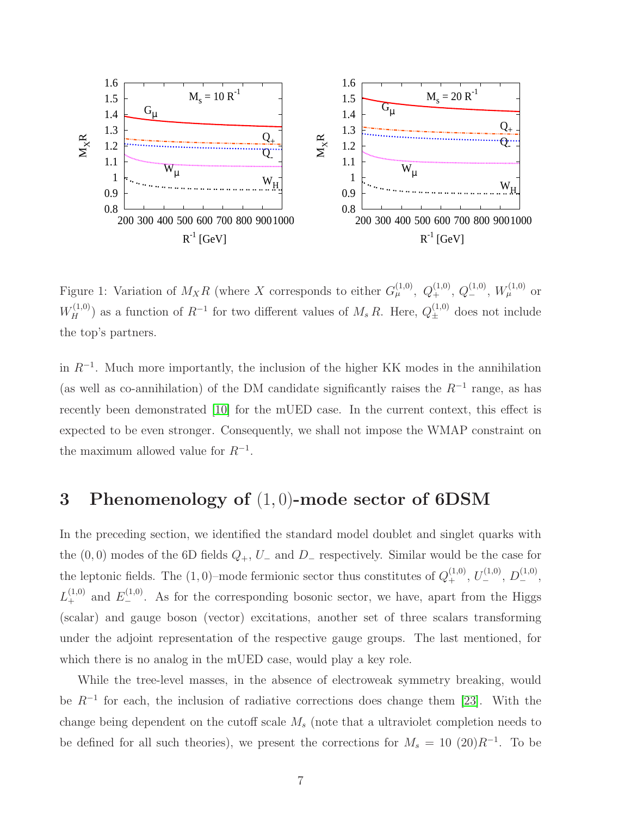

<span id="page-6-0"></span>Figure 1: Variation of  $M_X R$  (where X corresponds to either  $G^{(1,0)}_\mu$ ,  $Q^{(1,0)}_+$ ,  $Q^{(1,0)}_-$ ,  $W^{(1,0)}_\mu$  or  $W_H^{(1,0)}$ ) as a function of  $R^{-1}$  for two different values of  $M_s R$ . Here,  $Q_{\pm}^{(1,0)}$  does not include the top's partners.

in  $R^{-1}$ . Much more importantly, the inclusion of the higher KK modes in the annihilation (as well as co-annihilation) of the DM candidate significantly raises the  $R^{-1}$  range, as has recently been demonstrated [\[10\]](#page-27-1) for the mUED case. In the current context, this effect is expected to be even stronger. Consequently, we shall not impose the WMAP constraint on the maximum allowed value for  $R^{-1}$ .

### 3 Phenomenology of (1, 0)-mode sector of 6DSM

In the preceding section, we identified the standard model doublet and singlet quarks with the  $(0, 0)$  modes of the 6D fields  $Q_+$ ,  $U_-$  and  $D_-$  respectively. Similar would be the case for the leptonic fields. The  $(1,0)$ -mode fermionic sector thus constitutes of  $Q_+^{(1,0)}$ ,  $U_-^{(1,0)}$ ,  $D_-^{(1,0)}$ ,  $L_{+}^{(1,0)}$  and  $E_{-}^{(1,0)}$ . As for the corresponding bosonic sector, we have, apart from the Higgs (scalar) and gauge boson (vector) excitations, another set of three scalars transforming under the adjoint representation of the respective gauge groups. The last mentioned, for which there is no analog in the mUED case, would play a key role.

While the tree-level masses, in the absence of electroweak symmetry breaking, would be  $R^{-1}$  for each, the inclusion of radiative corrections does change them [\[23\]](#page-27-12). With the change being dependent on the cutoff scale  $M_s$  (note that a ultraviolet completion needs to be defined for all such theories), we present the corrections for  $M_s = 10$  (20) $R^{-1}$ . To be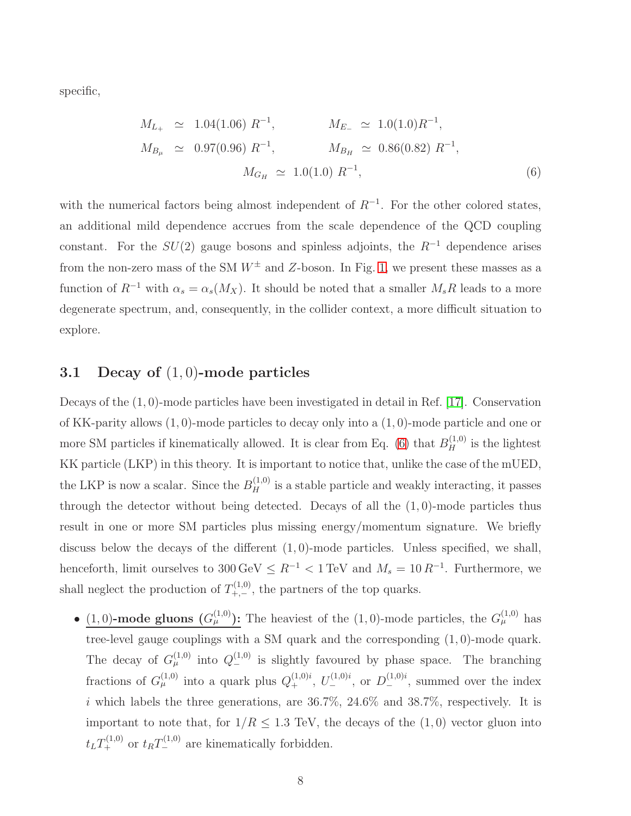specific,

<span id="page-7-0"></span>
$$
M_{L_{+}} \simeq 1.04(1.06) R^{-1}, \qquad M_{E_{-}} \simeq 1.0(1.0) R^{-1},
$$
  
\n
$$
M_{B_{\mu}} \simeq 0.97(0.96) R^{-1}, \qquad M_{B_{H}} \simeq 0.86(0.82) R^{-1},
$$
  
\n
$$
M_{G_{H}} \simeq 1.0(1.0) R^{-1}, \qquad (6)
$$

with the numerical factors being almost independent of  $R^{-1}$ . For the other colored states, an additional mild dependence accrues from the scale dependence of the QCD coupling constant. For the  $SU(2)$  gauge bosons and spinless adjoints, the  $R^{-1}$  dependence arises from the non-zero mass of the SM  $W^{\pm}$  and Z-boson. In Fig. [1,](#page-6-0) we present these masses as a function of  $R^{-1}$  with  $\alpha_s = \alpha_s(M_X)$ . It should be noted that a smaller  $M_sR$  leads to a more degenerate spectrum, and, consequently, in the collider context, a more difficult situation to explore.

#### 3.1 Decay of  $(1,0)$ -mode particles

Decays of the  $(1, 0)$ -mode particles have been investigated in detail in Ref. [\[17\]](#page-27-14). Conservation of KK-parity allows (1, 0)-mode particles to decay only into a (1, 0)-mode particle and one or more SM particles if kinematically allowed. It is clear from Eq. [\(6\)](#page-7-0) that  $B<sub>H</sub><sup>(1,0)</sup>$  is the lightest KK particle (LKP) in this theory. It is important to notice that, unlike the case of the mUED, the LKP is now a scalar. Since the  $B_H^{(1,0)}$  is a stable particle and weakly interacting, it passes through the detector without being detected. Decays of all the  $(1, 0)$ -mode particles thus result in one or more SM particles plus missing energy/momentum signature. We briefly discuss below the decays of the different  $(1, 0)$ -mode particles. Unless specified, we shall, henceforth, limit ourselves to  $300 \,\text{GeV} \leq R^{-1} < 1 \,\text{TeV}$  and  $M_s = 10 \, R^{-1}$ . Furthermore, we shall neglect the production of  $T_{+,-}^{(1,0)}$ , the partners of the top quarks.

• (1,0)-mode gluons  $(G_\mu^{(1,0)})$ : The heaviest of the (1,0)-mode particles, the  $G_\mu^{(1,0)}$  has tree-level gauge couplings with a SM quark and the corresponding (1, 0)-mode quark. The decay of  $G_{\mu}^{(1,0)}$  into  $Q_{-}^{(1,0)}$  is slightly favoured by phase space. The branching fractions of  $G_{\mu}^{(1,0)}$  into a quark plus  $Q_{+}^{(1,0)i}$ ,  $U_{-}^{(1,0)i}$ , or  $D_{-}^{(1,0)i}$ , summed over the index i which labels the three generations, are  $36.7\%$ ,  $24.6\%$  and  $38.7\%$ , respectively. It is important to note that, for  $1/R \le 1.3$  TeV, the decays of the  $(1,0)$  vector gluon into  $t_L T_+^{(1,0)}$  or  $t_R T_-^{(1,0)}$  are kinematically forbidden.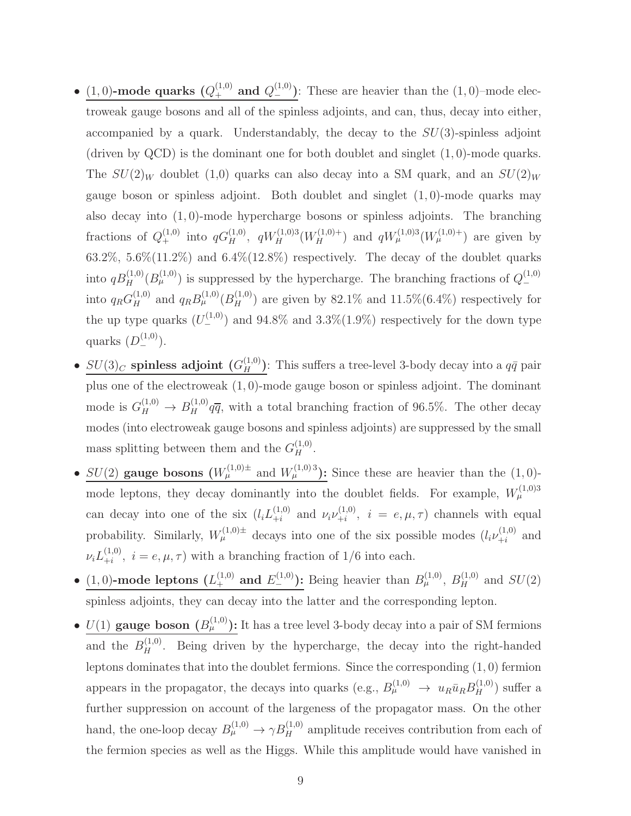- (1,0)-mode quarks  $(Q_+^{(1,0)} \text{ and } Q_-^{(1,0)})$ : These are heavier than the (1,0)-mode electroweak gauge bosons and all of the spinless adjoints, and can, thus, decay into either, accompanied by a quark. Understandably, the decay to the  $SU(3)$ -spinless adjoint (driven by  $QCD$ ) is the dominant one for both doublet and singlet  $(1, 0)$ -mode quarks. The  $SU(2)_W$  doublet (1,0) quarks can also decay into a SM quark, and an  $SU(2)_W$ gauge boson or spinless adjoint. Both doublet and singlet  $(1,0)$ -mode quarks may also decay into  $(1, 0)$ -mode hypercharge bosons or spinless adjoints. The branching fractions of  $Q_+^{(1,0)}$  into  $qG_H^{(1,0)}$ ,  $qW_H^{(1,0)3}(W_H^{(1,0)+})$  and  $qW_\mu^{(1,0)3}(W_\mu^{(1,0)+})$  are given by 63.2%, 5.6% $(11.2\%)$  and 6.4% $(12.8\%)$  respectively. The decay of the doublet quarks into  $qB_H^{(1,0)}(B_\mu^{(1,0)})$  is suppressed by the hypercharge. The branching fractions of  $Q_{-}^{(1,0)}$ into  $q_R G_H^{(1,0)}$  and  $q_R B_\mu^{(1,0)} (B_H^{(1,0)})$  are given by 82.1% and 11.5%(6.4%) respectively for the up type quarks  $(U_{-}^{(1,0)})$  and  $94.8\%$  and  $3.3\%(1.9\%)$  respectively for the down type quarks  $(D_{-}^{(1,0)})$ .
- $SU(3)_C$  spinless adjoint  $(G_H^{(1,0)})$ : This suffers a tree-level 3-body decay into a  $q\bar{q}$  pair plus one of the electroweak (1, 0)-mode gauge boson or spinless adjoint. The dominant mode is  $G_H^{(1,0)} \to B_H^{(1,0)} q\overline{q}$ , with a total branching fraction of 96.5%. The other decay modes (into electroweak gauge bosons and spinless adjoints) are suppressed by the small mass splitting between them and the  $G_H^{(1,0)}$ .
- $SU(2)$  gauge bosons  $(W<sub>\mu</sub><sup>(1,0)</sup>±$  and  $W<sub>\mu</sub><sup>(1,0)</sup>3$ ): Since these are heavier than the  $(1,0)$ mode leptons, they decay dominantly into the doublet fields. For example,  $W_\mu^{(1,0)3}$ can decay into one of the six  $(l_i L_{+i}^{(1,0)})$  $_{+i}^{(1,0)}$  and  $\nu_i \nu_{+i}^{(1,0)}$  $\mu_i^{(1,0)}, i = e, \mu, \tau$  channels with equal probability. Similarly,  $W^{(1,0)\pm}_{\mu}$  decays into one of the six possible modes  $(l_i \nu_{+i}^{(1,0)}$  $_{+i}^{(1,0)}$  and  $\nu_i L_{+i}^{(1,0)}$  $\lambda_{+i}^{(1,0)}, i = e, \mu, \tau$  with a branching fraction of  $1/6$  into each.
- (1,0)-mode leptons  $(L_+^{(1,0)} \text{ and } E_-^{(1,0)})$ : Being heavier than  $B_{\mu}^{(1,0)}$ ,  $B_H^{(1,0)}$  and  $SU(2)$ spinless adjoints, they can decay into the latter and the corresponding lepton.
- $U(1)$  gauge boson  $(B<sub>\mu</sub><sup>(1,0)</sup>)$ : It has a tree level 3-body decay into a pair of SM fermions and the  $B_H^{(1,0)}$ . Being driven by the hypercharge, the decay into the right-handed leptons dominates that into the doublet fermions. Since the corresponding (1, 0) fermion appears in the propagator, the decays into quarks (e.g.,  $B_{\mu}^{(1,0)} \to u_R \bar{u}_R B_H^{(1,0)}$ ) suffer a further suppression on account of the largeness of the propagator mass. On the other hand, the one-loop decay  $B_{\mu}^{(1,0)} \to \gamma B_H^{(1,0)}$  amplitude receives contribution from each of the fermion species as well as the Higgs. While this amplitude would have vanished in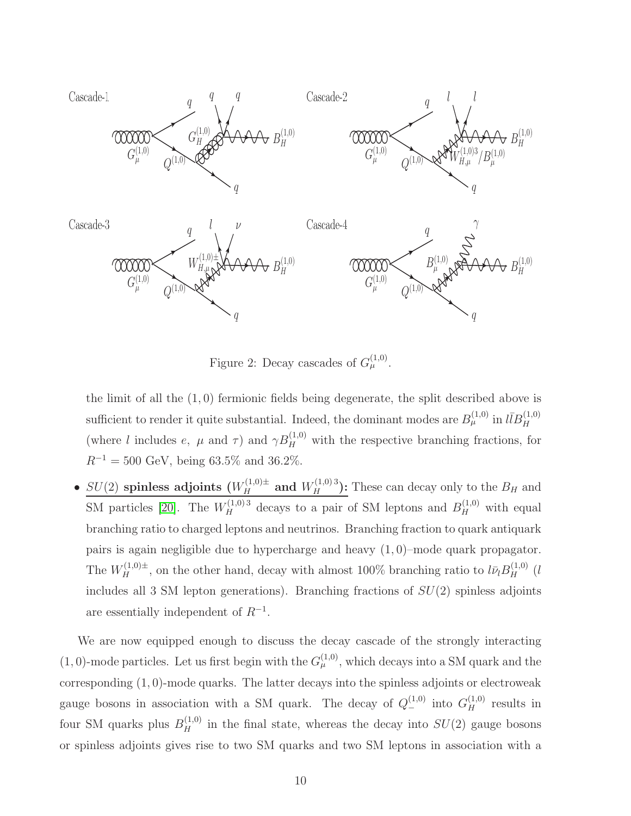

<span id="page-9-0"></span>Figure 2: Decay cascades of  $G^{(1,0)}_{\mu}$ .

the limit of all the (1, 0) fermionic fields being degenerate, the split described above is sufficient to render it quite substantial. Indeed, the dominant modes are  $B^{(1,0)}_{\mu}$  in  $l\bar{l}B^{(1,0)}_{H}$ (where l includes e,  $\mu$  and  $\tau$ ) and  $\gamma B_H^{(1,0)}$  with the respective branching fractions, for  $R^{-1} = 500 \text{ GeV}, \text{ being } 63.5\% \text{ and } 36.2\%.$ 

•  $SU(2)$  spinless adjoints  $(W_H^{(1,0)\pm})$  and  $W_H^{(1,0)\pm}$  These can decay only to the  $B_H$  and SM particles [\[20\]](#page-27-10). The  $W_H^{(1,0),3}$  decays to a pair of SM leptons and  $B_H^{(1,0)}$  with equal branching ratio to charged leptons and neutrinos. Branching fraction to quark antiquark pairs is again negligible due to hypercharge and heavy  $(1,0)$ –mode quark propagator. The  $W_H^{(1,0)\pm}$ , on the other hand, decay with almost 100% branching ratio to  $l\bar{\nu}_lB_H^{(1,0)}$  (*l* includes all 3 SM lepton generations). Branching fractions of  $SU(2)$  spinless adjoints are essentially independent of  $R^{-1}$ .

We are now equipped enough to discuss the decay cascade of the strongly interacting  $(1,0)$ -mode particles. Let us first begin with the  $G_{\mu}^{(1,0)}$ , which decays into a SM quark and the corresponding (1, 0)-mode quarks. The latter decays into the spinless adjoints or electroweak gauge bosons in association with a SM quark. The decay of  $Q_{-}^{(1,0)}$  into  $G_{H}^{(1,0)}$  results in four SM quarks plus  $B_H^{(1,0)}$  in the final state, whereas the decay into  $SU(2)$  gauge bosons or spinless adjoints gives rise to two SM quarks and two SM leptons in association with a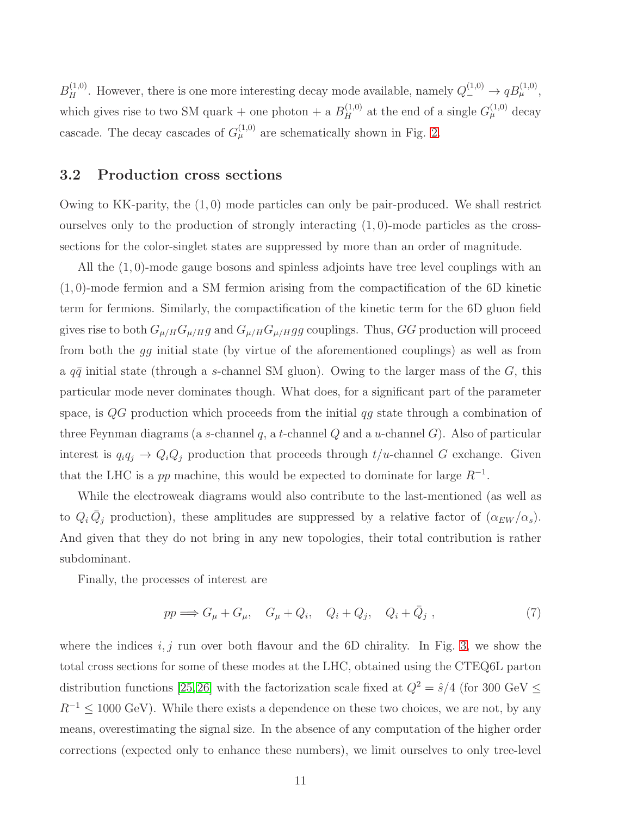$B_H^{(1,0)}$ . However, there is one more interesting decay mode available, namely  $Q_{-}^{(1,0)} \to qB_{\mu}^{(1,0)}$ , which gives rise to two SM quark + one photon + a  $B_H^{(1,0)}$  at the end of a single  $G_{\mu}^{(1,0)}$  decay cascade. The decay cascades of  $G_{\mu}^{(1,0)}$  are schematically shown in Fig. [2.](#page-9-0)

#### 3.2 Production cross sections

Owing to KK-parity, the (1, 0) mode particles can only be pair-produced. We shall restrict ourselves only to the production of strongly interacting  $(1,0)$ -mode particles as the crosssections for the color-singlet states are suppressed by more than an order of magnitude.

All the (1, 0)-mode gauge bosons and spinless adjoints have tree level couplings with an (1, 0)-mode fermion and a SM fermion arising from the compactification of the 6D kinetic term for fermions. Similarly, the compactification of the kinetic term for the 6D gluon field gives rise to both  $G_{\mu/H} G_{\mu/H} g$  and  $G_{\mu/H} G_{\mu/H} g$  couplings. Thus, GG production will proceed from both the gg initial state (by virtue of the aforementioned couplings) as well as from a  $q\bar{q}$  initial state (through a s-channel SM gluon). Owing to the larger mass of the G, this particular mode never dominates though. What does, for a significant part of the parameter space, is  $QG$  production which proceeds from the initial  $qg$  state through a combination of three Feynman diagrams (a s-channel q, a t-channel  $Q$  and a u-channel  $G$ ). Also of particular interest is  $q_iq_j \to Q_iQ_j$  production that proceeds through  $t/u$ -channel G exchange. Given that the LHC is a pp machine, this would be expected to dominate for large  $R^{-1}$ .

While the electroweak diagrams would also contribute to the last-mentioned (as well as to  $Q_i \bar{Q}_j$  production), these amplitudes are suppressed by a relative factor of  $(\alpha_{EW}/\alpha_s)$ . And given that they do not bring in any new topologies, their total contribution is rather subdominant.

Finally, the processes of interest are

$$
pp \Longrightarrow G_{\mu} + G_{\mu}, \quad G_{\mu} + Q_i, \quad Q_i + Q_j, \quad Q_i + \bar{Q}_j \tag{7}
$$

where the indices  $i, j$  run over both flavour and the 6D chirality. In Fig. [3,](#page-11-0) we show the total cross sections for some of these modes at the LHC, obtained using the CTEQ6L parton distribution functions [\[25,](#page-27-15)[26\]](#page-27-16) with the factorization scale fixed at  $Q^2 = \hat{s}/4$  (for 300 GeV  $\leq$  $R^{-1} \leq 1000$  GeV). While there exists a dependence on these two choices, we are not, by any means, overestimating the signal size. In the absence of any computation of the higher order corrections (expected only to enhance these numbers), we limit ourselves to only tree-level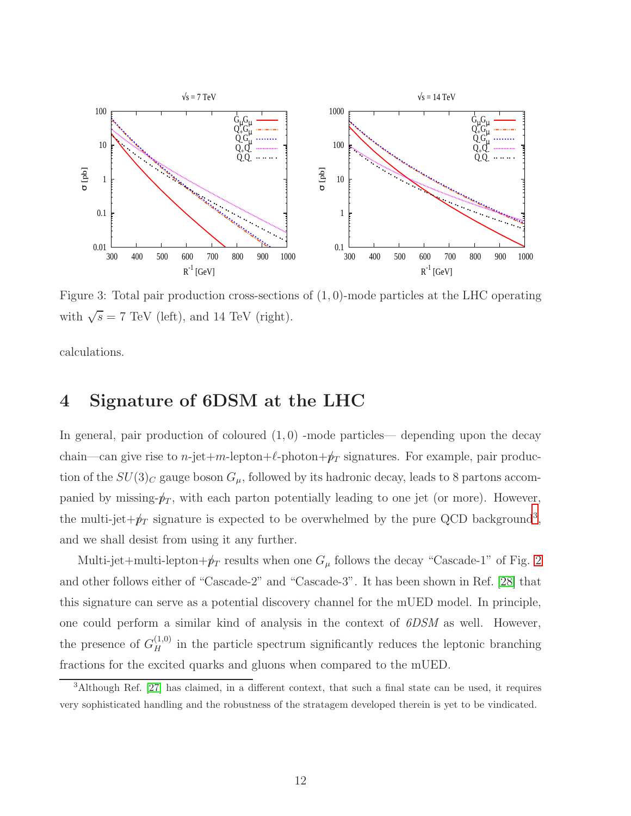

<span id="page-11-0"></span>Figure 3: Total pair production cross-sections of  $(1,0)$ -mode particles at the LHC operating with  $\sqrt{s} = 7$  TeV (left), and 14 TeV (right).

calculations.

### 4 Signature of 6DSM at the LHC

In general, pair production of coloured  $(1, 0)$  -mode particles— depending upon the decay chain—can give rise to *n*-jet+m-lepton+ $\ell$ -photon+ $p_T$  signatures. For example, pair production of the  $SU(3)_C$  gauge boson  $G_\mu$ , followed by its hadronic decay, leads to 8 partons accompanied by missing- $p_T$ , with each parton potentially leading to one jet (or more). However, the multi-jet $+\cancel{p}_T$  signature is expected to be overwhelmed by the pure QCD background<sup>[3](#page-11-1)</sup>, and we shall desist from using it any further.

Multi-jet+multi-lepton+ $p_T$  results when one  $G_\mu$  follows the decay "Cascade-1" of Fig. [2](#page-9-0) and other follows either of "Cascade-2" and "Cascade-3". It has been shown in Ref. [\[28\]](#page-27-17) that this signature can serve as a potential discovery channel for the mUED model. In principle, one could perform a similar kind of analysis in the context of 6DSM as well. However, the presence of  $G_H^{(1,0)}$  in the particle spectrum significantly reduces the leptonic branching fractions for the excited quarks and gluons when compared to the mUED.

<span id="page-11-1"></span><sup>3</sup>Although Ref. [\[27\]](#page-27-18) has claimed, in a different context, that such a final state can be used, it requires very sophisticated handling and the robustness of the stratagem developed therein is yet to be vindicated.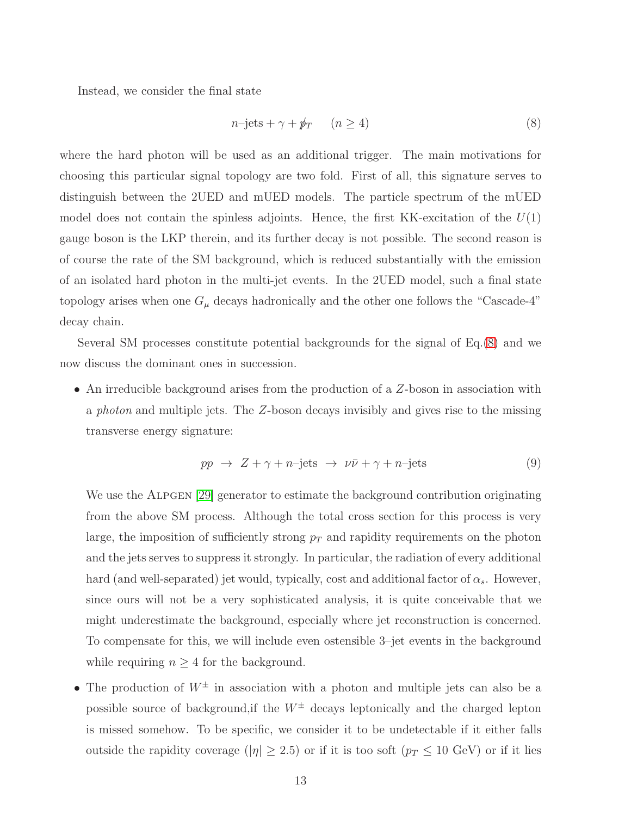Instead, we consider the final state

<span id="page-12-0"></span>
$$
n\text{-jets} + \gamma + \rlap{\,/}p_T \qquad (n \ge 4)
$$
\n<sup>(8)</sup>

where the hard photon will be used as an additional trigger. The main motivations for choosing this particular signal topology are two fold. First of all, this signature serves to distinguish between the 2UED and mUED models. The particle spectrum of the mUED model does not contain the spinless adjoints. Hence, the first KK-excitation of the  $U(1)$ gauge boson is the LKP therein, and its further decay is not possible. The second reason is of course the rate of the SM background, which is reduced substantially with the emission of an isolated hard photon in the multi-jet events. In the 2UED model, such a final state topology arises when one  $G_{\mu}$  decays hadronically and the other one follows the "Cascade-4" decay chain.

Several SM processes constitute potential backgrounds for the signal of Eq.[\(8\)](#page-12-0) and we now discuss the dominant ones in succession.

• An irreducible background arises from the production of a Z-boson in association with a photon and multiple jets. The Z-boson decays invisibly and gives rise to the missing transverse energy signature:

$$
pp \to Z + \gamma + n \text{-jets} \to \nu \bar{\nu} + \gamma + n \text{-jets} \tag{9}
$$

We use the ALPGEN [\[29\]](#page-28-0) generator to estimate the background contribution originating from the above SM process. Although the total cross section for this process is very large, the imposition of sufficiently strong  $p_T$  and rapidity requirements on the photon and the jets serves to suppress it strongly. In particular, the radiation of every additional hard (and well-separated) jet would, typically, cost and additional factor of  $\alpha_s$ . However, since ours will not be a very sophisticated analysis, it is quite conceivable that we might underestimate the background, especially where jet reconstruction is concerned. To compensate for this, we will include even ostensible 3–jet events in the background while requiring  $n \geq 4$  for the background.

• The production of  $W^{\pm}$  in association with a photon and multiple jets can also be a possible source of background, if the  $W^{\pm}$  decays leptonically and the charged lepton is missed somehow. To be specific, we consider it to be undetectable if it either falls outside the rapidity coverage ( $|\eta| \ge 2.5$ ) or if it is too soft ( $p_T \le 10$  GeV) or if it lies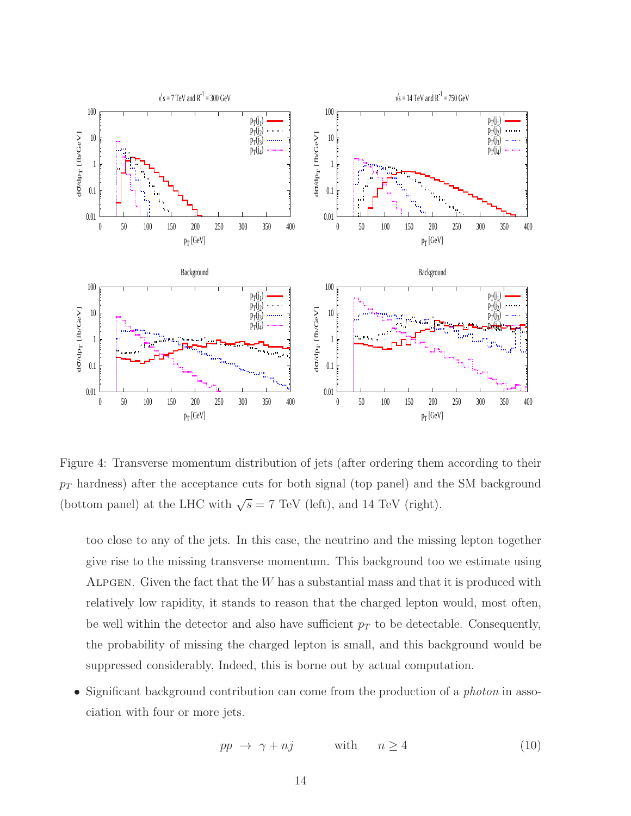

<span id="page-13-0"></span>Figure 4: Transverse momentum distribution of jets (after ordering them according to their  $p_T$  hardness) after the acceptance cuts for both signal (top panel) and the SM background (bottom panel) at the LHC with  $\sqrt{s} = 7$  TeV (left), and 14 TeV (right).

too close to any of the jets. In this case, the neutrino and the missing lepton together give rise to the missing transverse momentum. This background too we estimate using ALPGEN. Given the fact that the  $W$  has a substantial mass and that it is produced with relatively low rapidity, it stands to reason that the charged lepton would, most often, be well within the detector and also have sufficient  $p<sub>T</sub>$  to be detectable. Consequently, the probability of missing the charged lepton is small, and this background would be suppressed considerably, Indeed, this is borne out by actual computation.

• Significant background contribution can come from the production of a *photon* in association with four or more jets.

$$
pp \to \gamma + nj \qquad \text{with} \qquad n \ge 4 \tag{10}
$$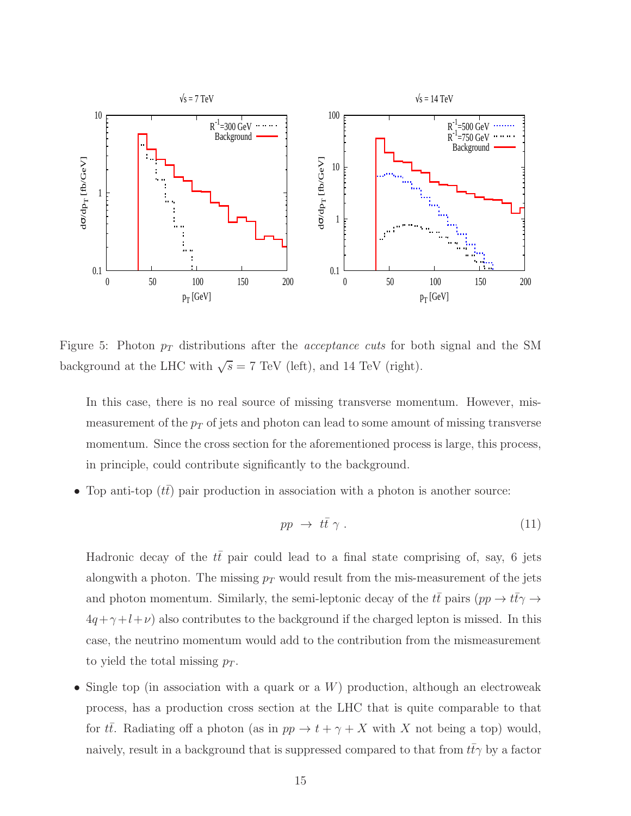

Figure 5: Photon  $p_T$  distributions after the *acceptance cuts* for both signal and the SM background at the LHC with  $\sqrt{s} = 7$  TeV (left), and 14 TeV (right).

<span id="page-14-0"></span>In this case, there is no real source of missing transverse momentum. However, mismeasurement of the  $p_T$  of jets and photon can lead to some amount of missing transverse momentum. Since the cross section for the aforementioned process is large, this process, in principle, could contribute significantly to the background.

• Top anti-top  $(t\bar{t})$  pair production in association with a photon is another source:

$$
pp \ \to \ t\bar{t} \ \gamma \ . \tag{11}
$$

Hadronic decay of the  $t\bar{t}$  pair could lead to a final state comprising of, say, 6 jets alongwith a photon. The missing  $p_T$  would result from the mis-measurement of the jets and photon momentum. Similarly, the semi-leptonic decay of the  $t\bar{t}$  pairs  $(pp \to t\bar{t}\gamma \to$  $4q+\gamma+l+\nu$ ) also contributes to the background if the charged lepton is missed. In this case, the neutrino momentum would add to the contribution from the mismeasurement to yield the total missing  $p_T$ .

• Single top (in association with a quark or a  $W$ ) production, although an electroweak process, has a production cross section at the LHC that is quite comparable to that for  $t\bar{t}$ . Radiating off a photon (as in  $pp \to t + \gamma + X$  with X not being a top) would, naively, result in a background that is suppressed compared to that from  $t\bar{t}\gamma$  by a factor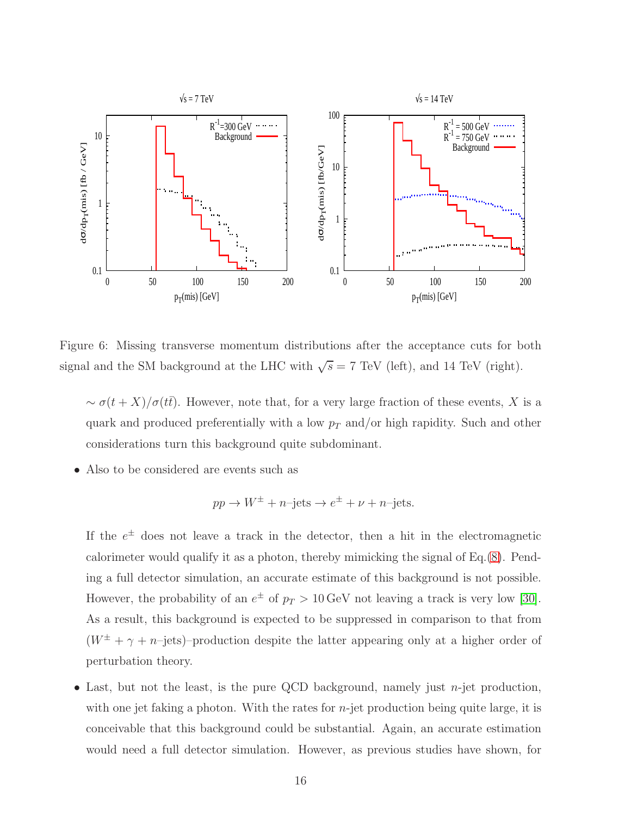

Figure 6: Missing transverse momentum distributions after the acceptance cuts for both signal and the SM background at the LHC with  $\sqrt{s} = 7$  TeV (left), and 14 TeV (right).

<span id="page-15-0"></span> $\sim \sigma(t+X)/\sigma(t\bar{t})$ . However, note that, for a very large fraction of these events, X is a quark and produced preferentially with a low  $p_T$  and/or high rapidity. Such and other considerations turn this background quite subdominant.

• Also to be considered are events such as

$$
pp \to W^{\pm} + n
$$
-jets  $\to e^{\pm} + \nu + n$ -jets.

If the  $e^{\pm}$  does not leave a track in the detector, then a hit in the electromagnetic calorimeter would qualify it as a photon, thereby mimicking the signal of Eq.[\(8\)](#page-12-0). Pending a full detector simulation, an accurate estimate of this background is not possible. However, the probability of an  $e^{\pm}$  of  $p_T > 10 \,\text{GeV}$  not leaving a track is very low [\[30\]](#page-28-1). As a result, this background is expected to be suppressed in comparison to that from  $(W^{\pm} + \gamma + n$ -jets)–production despite the latter appearing only at a higher order of perturbation theory.

• Last, but not the least, is the pure QCD background, namely just  $n$ -jet production, with one jet faking a photon. With the rates for  $n$ -jet production being quite large, it is conceivable that this background could be substantial. Again, an accurate estimation would need a full detector simulation. However, as previous studies have shown, for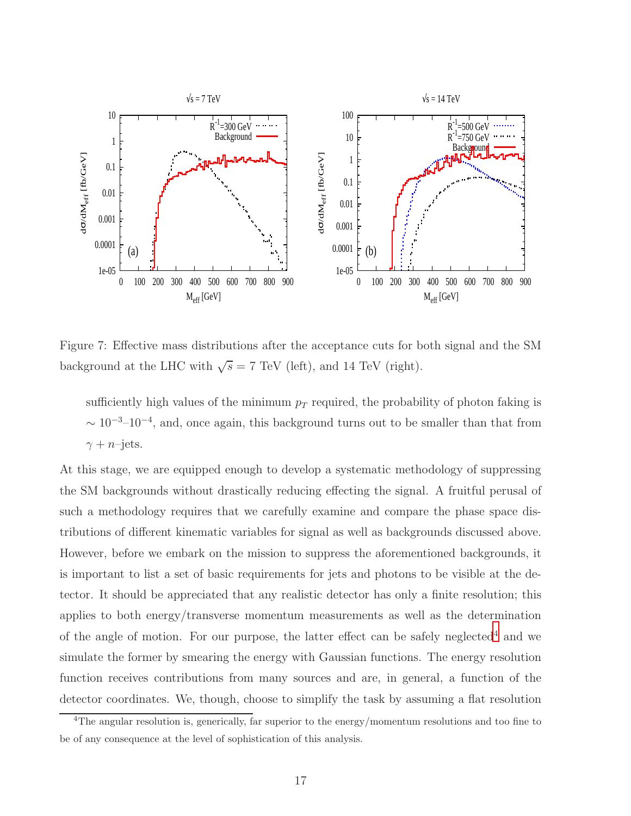

<span id="page-16-1"></span>Figure 7: Effective mass distributions after the acceptance cuts for both signal and the SM background at the LHC with  $\sqrt{s} = 7$  TeV (left), and 14 TeV (right).

sufficiently high values of the minimum  $p_T$  required, the probability of photon faking is  $\sim 10^{-3}$ – $10^{-4}$ , and, once again, this background turns out to be smaller than that from  $\gamma + n$ –jets.

At this stage, we are equipped enough to develop a systematic methodology of suppressing the SM backgrounds without drastically reducing effecting the signal. A fruitful perusal of such a methodology requires that we carefully examine and compare the phase space distributions of different kinematic variables for signal as well as backgrounds discussed above. However, before we embark on the mission to suppress the aforementioned backgrounds, it is important to list a set of basic requirements for jets and photons to be visible at the detector. It should be appreciated that any realistic detector has only a finite resolution; this applies to both energy/transverse momentum measurements as well as the determination of the angle of motion. For our purpose, the latter effect can be safely neglected<sup>[4](#page-16-0)</sup> and we simulate the former by smearing the energy with Gaussian functions. The energy resolution function receives contributions from many sources and are, in general, a function of the detector coordinates. We, though, choose to simplify the task by assuming a flat resolution

<span id="page-16-0"></span><sup>4</sup>The angular resolution is, generically, far superior to the energy/momentum resolutions and too fine to be of any consequence at the level of sophistication of this analysis.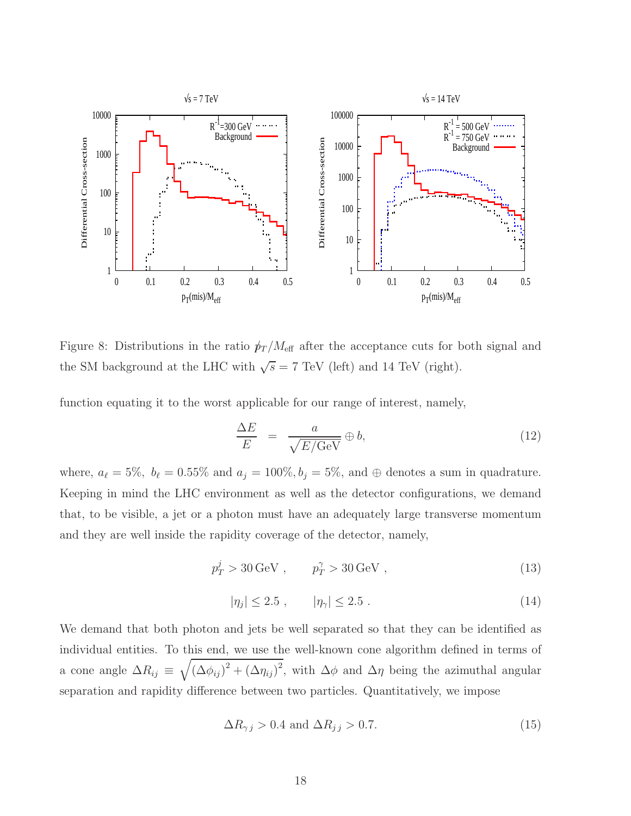

<span id="page-17-1"></span>Figure 8: Distributions in the ratio  $p_T / M_{\text{eff}}$  after the acceptance cuts for both signal and the SM background at the LHC with  $\sqrt{s} = 7$  TeV (left) and 14 TeV (right).

function equating it to the worst applicable for our range of interest, namely,

$$
\frac{\Delta E}{E} = \frac{a}{\sqrt{E/\text{GeV}}} \oplus b,\tag{12}
$$

where,  $a_{\ell} = 5\%$ ,  $b_{\ell} = 0.55\%$  and  $a_j = 100\%, b_j = 5\%$ , and  $\oplus$  denotes a sum in quadrature. Keeping in mind the LHC environment as well as the detector configurations, we demand that, to be visible, a jet or a photon must have an adequately large transverse momentum and they are well inside the rapidity coverage of the detector, namely,

<span id="page-17-0"></span>
$$
p_T^j > 30 \,\text{GeV} \;, \qquad p_T^\gamma > 30 \,\text{GeV} \;, \tag{13}
$$

$$
|\eta_j| \le 2.5 \;, \qquad |\eta_\gamma| \le 2.5 \; . \tag{14}
$$

We demand that both photon and jets be well separated so that they can be identified as individual entities. To this end, we use the well-known cone algorithm defined in terms of a cone angle  $\Delta R_{ij} \equiv \sqrt{(\Delta \phi_{ij})^2 + (\Delta \eta_{ij})^2}$ , with  $\Delta \phi$  and  $\Delta \eta$  being the azimuthal angular separation and rapidity difference between two particles. Quantitatively, we impose

$$
\Delta R_{\gamma j} > 0.4 \text{ and } \Delta R_{j j} > 0.7. \tag{15}
$$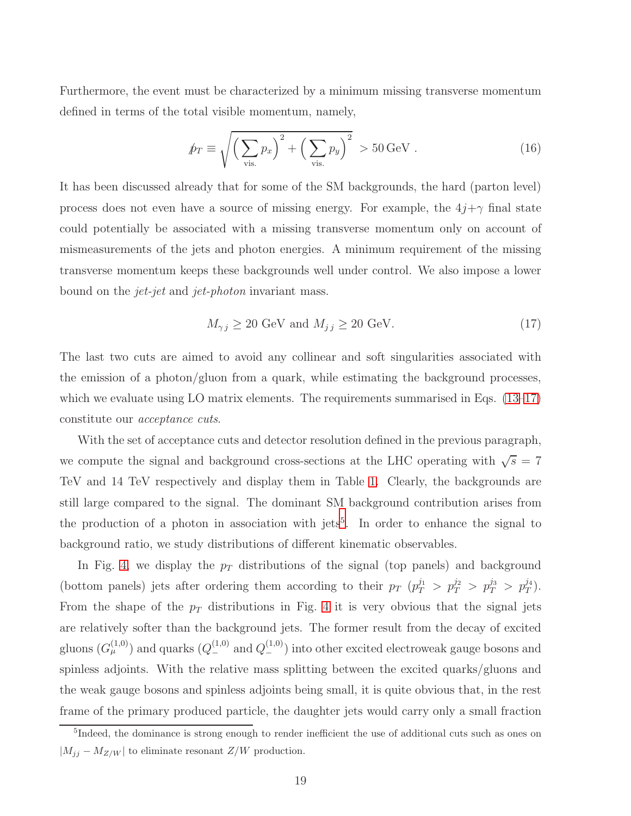Furthermore, the event must be characterized by a minimum missing transverse momentum defined in terms of the total visible momentum, namely,

$$
\hat{p}_T \equiv \sqrt{\left(\sum_{\text{vis.}} p_x\right)^2 + \left(\sum_{\text{vis.}} p_y\right)^2} > 50 \,\text{GeV} \,. \tag{16}
$$

It has been discussed already that for some of the SM backgrounds, the hard (parton level) process does not even have a source of missing energy. For example, the  $4j+\gamma$  final state could potentially be associated with a missing transverse momentum only on account of mismeasurements of the jets and photon energies. A minimum requirement of the missing transverse momentum keeps these backgrounds well under control. We also impose a lower bound on the jet-jet and jet-photon invariant mass.

<span id="page-18-0"></span>
$$
M_{\gamma j} \ge 20 \text{ GeV and } M_{j j} \ge 20 \text{ GeV.}
$$
 (17)

The last two cuts are aimed to avoid any collinear and soft singularities associated with the emission of a photon/gluon from a quark, while estimating the background processes, which we evaluate using LO matrix elements. The requirements summarised in Eqs. [\(13](#page-17-0)[–17\)](#page-18-0) constitute our acceptance cuts.

With the set of acceptance cuts and detector resolution defined in the previous paragraph, we compute the signal and background cross-sections at the LHC operating with  $\sqrt{s} = 7$ TeV and 14 TeV respectively and display them in Table [1.](#page-19-0) Clearly, the backgrounds are still large compared to the signal. The dominant SM background contribution arises from the production of a photon in association with jets<sup>[5](#page-18-1)</sup>. In order to enhance the signal to background ratio, we study distributions of different kinematic observables.

In Fig. [4,](#page-13-0) we display the  $p_T$  distributions of the signal (top panels) and background (bottom panels) jets after ordering them according to their  $p_T$   $(p_T^{j_1} > p_T^{j_2} > p_T^{j_3} > p_T^{j_4})$ . From the shape of the  $p_T$  distributions in Fig. [4](#page-13-0) it is very obvious that the signal jets are relatively softer than the background jets. The former result from the decay of excited gluons  $(G_{\mu}^{(1,0)})$  and quarks  $(Q_{-}^{(1,0)})$  and  $Q_{-}^{(1,0)})$  into other excited electroweak gauge bosons and spinless adjoints. With the relative mass splitting between the excited quarks/gluons and the weak gauge bosons and spinless adjoints being small, it is quite obvious that, in the rest frame of the primary produced particle, the daughter jets would carry only a small fraction

<span id="page-18-1"></span><sup>&</sup>lt;sup>5</sup>Indeed, the dominance is strong enough to render inefficient the use of additional cuts such as ones on  $|M_{jj} - M_{Z/W}|$  to eliminate resonant  $Z/W$  production.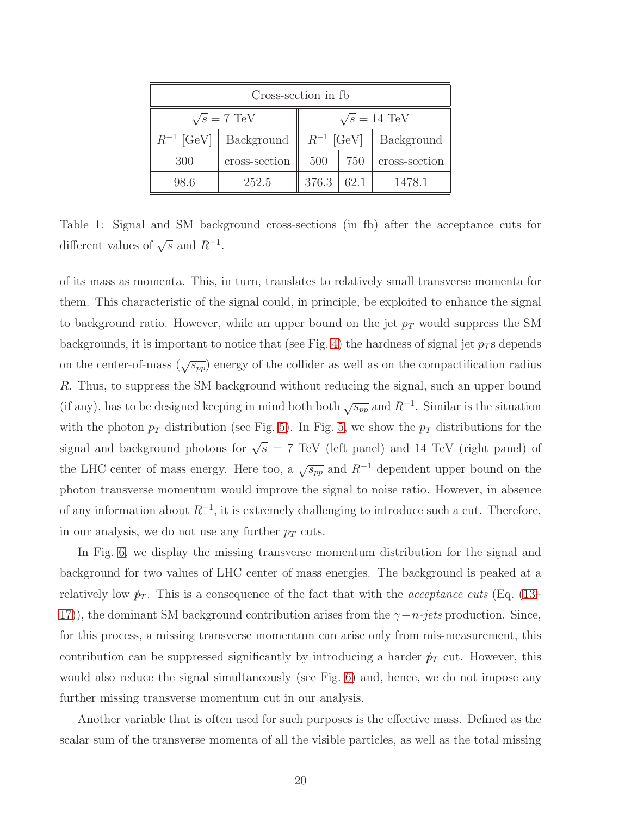| Cross-section in fb |                             |                     |      |               |  |  |  |  |
|---------------------|-----------------------------|---------------------|------|---------------|--|--|--|--|
| $\sqrt{s}$ = 7 TeV  |                             | $\sqrt{s} = 14$ TeV |      |               |  |  |  |  |
|                     | $R^{-1}$ [GeV]   Background | $R^{-1}$ [GeV]      |      | Background    |  |  |  |  |
| 300                 | cross-section               | 500                 | 750  | cross-section |  |  |  |  |
| 98.6                | 252.5                       | 376.3               | 62.1 | 1478.1        |  |  |  |  |

<span id="page-19-0"></span>Table 1: Signal and SM background cross-sections (in fb) after the acceptance cuts for different values of  $\sqrt{s}$  and  $R^{-1}$ .

of its mass as momenta. This, in turn, translates to relatively small transverse momenta for them. This characteristic of the signal could, in principle, be exploited to enhance the signal to background ratio. However, while an upper bound on the jet  $p_T$  would suppress the SM backgrounds, it is important to notice that (see Fig. [4\)](#page-13-0) the hardness of signal jet  $p_T$  s depends on the center-of-mass  $(\sqrt{s_{pp}})$  energy of the collider as well as on the compactification radius R. Thus, to suppress the SM background without reducing the signal, such an upper bound (if any), has to be designed keeping in mind both both  $\sqrt{s_{pp}}$  and  $R^{-1}$ . Similar is the situation with the photon  $p_T$  distribution (see Fig. [5\)](#page-14-0). In Fig. [5,](#page-14-0) we show the  $p_T$  distributions for the signal and background photons for  $\sqrt{s} = 7$  TeV (left panel) and 14 TeV (right panel) of the LHC center of mass energy. Here too, a  $\sqrt{s_{pp}}$  and  $R^{-1}$  dependent upper bound on the photon transverse momentum would improve the signal to noise ratio. However, in absence of any information about  $R^{-1}$ , it is extremely challenging to introduce such a cut. Therefore, in our analysis, we do not use any further  $p<sub>T</sub>$  cuts.

In Fig. [6,](#page-15-0) we display the missing transverse momentum distribution for the signal and background for two values of LHC center of mass energies. The background is peaked at a relatively low  $p_T$ . This is a consequence of the fact that with the *acceptance cuts* (Eq. [\(13–](#page-17-0) [17\)](#page-18-0), the dominant SM background contribution arises from the  $\gamma + n$ -jets production. Since, for this process, a missing transverse momentum can arise only from mis-measurement, this contribution can be suppressed significantly by introducing a harder  $p_T$  cut. However, this would also reduce the signal simultaneously (see Fig. [6\)](#page-15-0) and, hence, we do not impose any further missing transverse momentum cut in our analysis.

Another variable that is often used for such purposes is the effective mass. Defined as the scalar sum of the transverse momenta of all the visible particles, as well as the total missing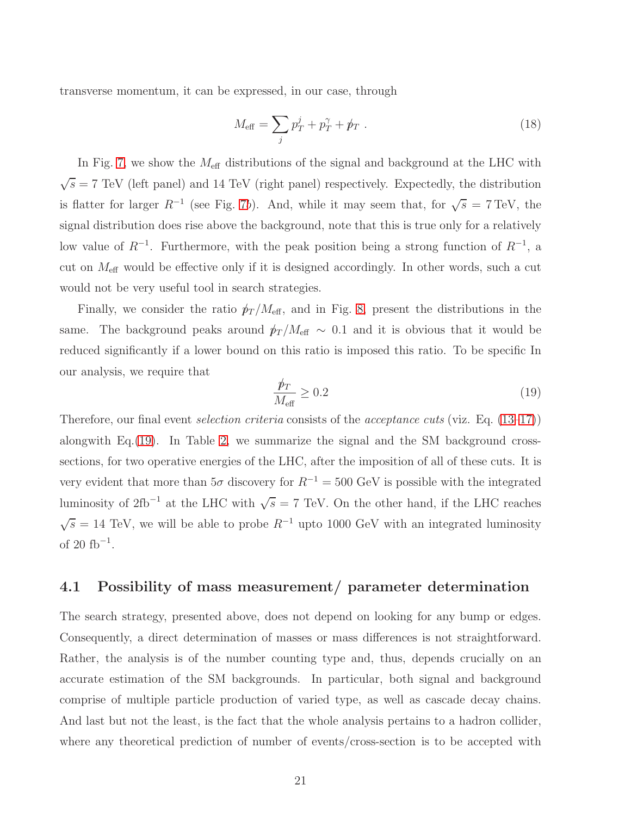transverse momentum, it can be expressed, in our case, through

<span id="page-20-1"></span>
$$
M_{\text{eff}} = \sum_{j} p_T^j + p_T^\gamma + p_T \ . \tag{18}
$$

In Fig. [7,](#page-16-1) we show the  $M_{\rm eff}$  distributions of the signal and background at the LHC with  $\sqrt{s}$  = 7 TeV (left panel) and 14 TeV (right panel) respectively. Expectedly, the distribution is flatter for larger  $R^{-1}$  (see Fig. [7](#page-16-1)b). And, while it may seem that, for  $\sqrt{s} = 7 \text{ TeV}$ , the signal distribution does rise above the background, note that this is true only for a relatively low value of  $R^{-1}$ . Furthermore, with the peak position being a strong function of  $R^{-1}$ , a cut on  $M_{\text{eff}}$  would be effective only if it is designed accordingly. In other words, such a cut would not be very useful tool in search strategies.

Finally, we consider the ratio  $p_T / M_{\text{eff}}$ , and in Fig. [8,](#page-17-1) present the distributions in the same. The background peaks around  $p_T / M_{\text{eff}} \sim 0.1$  and it is obvious that it would be reduced significantly if a lower bound on this ratio is imposed this ratio. To be specific In our analysis, we require that

<span id="page-20-0"></span>
$$
\frac{\not p_T}{M_{\text{eff}}} \ge 0.2\tag{19}
$$

Therefore, our final event *selection criteria* consists of the *acceptance cuts* (viz. Eq. [\(13–](#page-17-0)[17\)](#page-18-0)) alongwith Eq.[\(19\)](#page-20-0). In Table [2,](#page-21-0) we summarize the signal and the SM background crosssections, for two operative energies of the LHC, after the imposition of all of these cuts. It is very evident that more than  $5\sigma$  discovery for  $R^{-1} = 500$  GeV is possible with the integrated luminosity of 2fb<sup>-1</sup> at the LHC with  $\sqrt{s} = 7$  TeV. On the other hand, if the LHC reaches  $\sqrt{s} = 14$  TeV, we will be able to probe  $R^{-1}$  upto 1000 GeV with an integrated luminosity of 20  $\mathrm{fb}^{-1}$ .

### 4.1 Possibility of mass measurement/ parameter determination

The search strategy, presented above, does not depend on looking for any bump or edges. Consequently, a direct determination of masses or mass differences is not straightforward. Rather, the analysis is of the number counting type and, thus, depends crucially on an accurate estimation of the SM backgrounds. In particular, both signal and background comprise of multiple particle production of varied type, as well as cascade decay chains. And last but not the least, is the fact that the whole analysis pertains to a hadron collider, where any theoretical prediction of number of events/cross-section is to be accepted with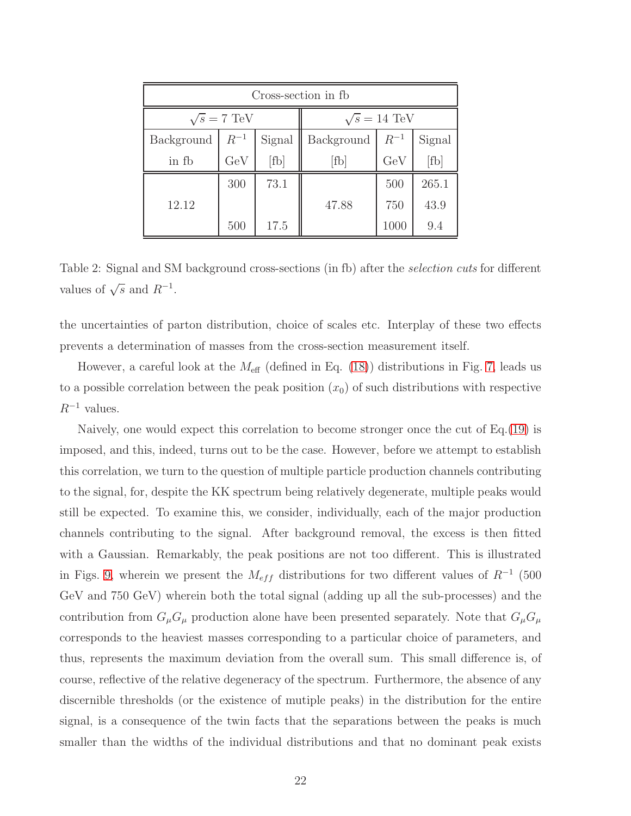| Cross-section in fb |          |        |                     |          |        |  |  |  |
|---------------------|----------|--------|---------------------|----------|--------|--|--|--|
| $\sqrt{s} = 7$ TeV  |          |        | $\sqrt{s} = 14$ TeV |          |        |  |  |  |
| Background          | $R^{-1}$ | Signal | Background          | $R^{-1}$ | Signal |  |  |  |
| in fb               | GeV      | [fb]   | [fb]                | GeV      | [fb]   |  |  |  |
|                     | 300      | 73.1   |                     | 500      | 265.1  |  |  |  |
| 12.12               |          |        | 47.88               | 750      | 43.9   |  |  |  |
|                     | 500      | 17.5   |                     | 1000     | 9.4    |  |  |  |

<span id="page-21-0"></span>Table 2: Signal and SM background cross-sections (in fb) after the *selection cuts* for different values of  $\sqrt{s}$  and  $R^{-1}$ .

the uncertainties of parton distribution, choice of scales etc. Interplay of these two effects prevents a determination of masses from the cross-section measurement itself.

However, a careful look at the  $M_{\text{eff}}$  (defined in Eq. [\(18\)](#page-20-1)) distributions in Fig. [7,](#page-16-1) leads us to a possible correlation between the peak position  $(x_0)$  of such distributions with respective  $R^{-1}$  values.

Naively, one would expect this correlation to become stronger once the cut of Eq.[\(19\)](#page-20-0) is imposed, and this, indeed, turns out to be the case. However, before we attempt to establish this correlation, we turn to the question of multiple particle production channels contributing to the signal, for, despite the KK spectrum being relatively degenerate, multiple peaks would still be expected. To examine this, we consider, individually, each of the major production channels contributing to the signal. After background removal, the excess is then fitted with a Gaussian. Remarkably, the peak positions are not too different. This is illustrated in Figs. [9,](#page-22-0) wherein we present the  $M_{eff}$  distributions for two different values of  $R^{-1}$  (500 GeV and 750 GeV) wherein both the total signal (adding up all the sub-processes) and the contribution from  $G_{\mu}G_{\mu}$  production alone have been presented separately. Note that  $G_{\mu}G_{\mu}$ corresponds to the heaviest masses corresponding to a particular choice of parameters, and thus, represents the maximum deviation from the overall sum. This small difference is, of course, reflective of the relative degeneracy of the spectrum. Furthermore, the absence of any discernible thresholds (or the existence of mutiple peaks) in the distribution for the entire signal, is a consequence of the twin facts that the separations between the peaks is much smaller than the widths of the individual distributions and that no dominant peak exists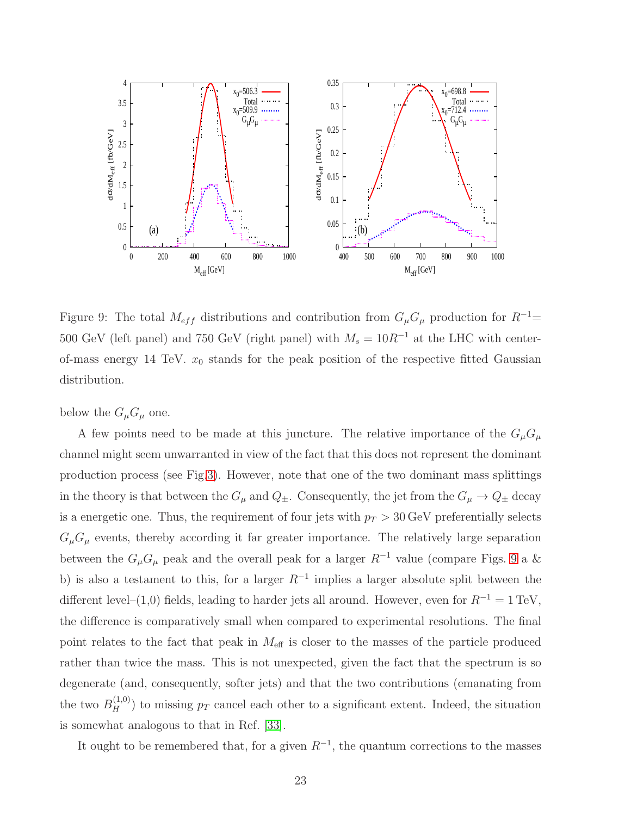

<span id="page-22-0"></span>Figure 9: The total  $M_{eff}$  distributions and contribution from  $G_{\mu}G_{\mu}$  production for  $R^{-1}$ = 500 GeV (left panel) and 750 GeV (right panel) with  $M_s = 10R^{-1}$  at the LHC with centerof-mass energy 14 TeV.  $x_0$  stands for the peak position of the respective fitted Gaussian distribution.

below the  $G_{\mu}G_{\mu}$  one.

A few points need to be made at this juncture. The relative importance of the  $G_\mu G_\mu$ channel might seem unwarranted in view of the fact that this does not represent the dominant production process (see Fig[.3\)](#page-11-0). However, note that one of the two dominant mass splittings in the theory is that between the  $G_{\mu}$  and  $Q_{\pm}$ . Consequently, the jet from the  $G_{\mu} \to Q_{\pm}$  decay is a energetic one. Thus, the requirement of four jets with  $p_T > 30$  GeV preferentially selects  $G_{\mu}G_{\mu}$  events, thereby according it far greater importance. The relatively large separation between the  $G_{\mu}G_{\mu}$  peak and the overall peak for a larger  $R^{-1}$  value (compare Figs. [9](#page-22-0) a & b) is also a testament to this, for a larger  $R^{-1}$  implies a larger absolute split between the different level–(1,0) fields, leading to harder jets all around. However, even for  $R^{-1} = 1 \text{ TeV}$ , the difference is comparatively small when compared to experimental resolutions. The final point relates to the fact that peak in  $M_{\text{eff}}$  is closer to the masses of the particle produced rather than twice the mass. This is not unexpected, given the fact that the spectrum is so degenerate (and, consequently, softer jets) and that the two contributions (emanating from the two  $B_H^{(1,0)}$  to missing  $p_T$  cancel each other to a significant extent. Indeed, the situation is somewhat analogous to that in Ref. [\[33\]](#page-28-2).

It ought to be remembered that, for a given  $R^{-1}$ , the quantum corrections to the masses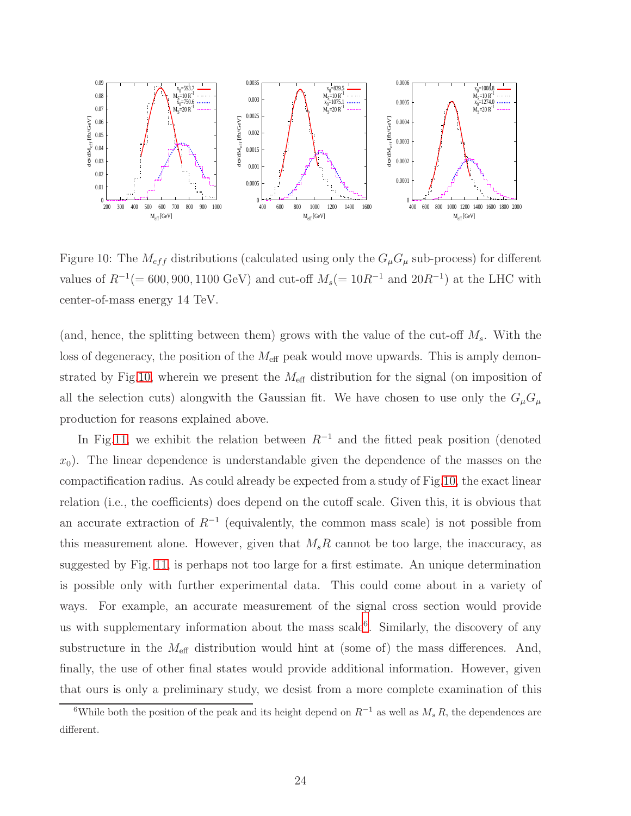

<span id="page-23-0"></span>Figure 10: The  $M_{eff}$  distributions (calculated using only the  $G_{\mu}G_{\mu}$  sub-process) for different values of  $R^{-1}(= 600, 900, 1100 \text{ GeV})$  and cut-off  $M_s(= 10R^{-1}$  and  $20R^{-1})$  at the LHC with center-of-mass energy 14 TeV.

(and, hence, the splitting between them) grows with the value of the cut-off  $M_s$ . With the loss of degeneracy, the position of the  $M_{\text{eff}}$  peak would move upwards. This is amply demon-strated by Fig[.10,](#page-23-0) wherein we present the  $M_{\text{eff}}$  distribution for the signal (on imposition of all the selection cuts) alongwith the Gaussian fit. We have chosen to use only the  $G_{\mu}G_{\mu}$ production for reasons explained above.

In Fig[.11,](#page-24-0) we exhibit the relation between  $R^{-1}$  and the fitted peak position (denoted  $x_0$ ). The linear dependence is understandable given the dependence of the masses on the compactification radius. As could already be expected from a study of Fig[.10,](#page-23-0) the exact linear relation (i.e., the coefficients) does depend on the cutoff scale. Given this, it is obvious that an accurate extraction of  $R^{-1}$  (equivalently, the common mass scale) is not possible from this measurement alone. However, given that  $M_sR$  cannot be too large, the inaccuracy, as suggested by Fig. [11,](#page-24-0) is perhaps not too large for a first estimate. An unique determination is possible only with further experimental data. This could come about in a variety of ways. For example, an accurate measurement of the signal cross section would provide us with supplementary information about the mass scale<sup>[6](#page-23-1)</sup>. Similarly, the discovery of any substructure in the  $M_{\text{eff}}$  distribution would hint at (some of) the mass differences. And, finally, the use of other final states would provide additional information. However, given that ours is only a preliminary study, we desist from a more complete examination of this

<span id="page-23-1"></span><sup>&</sup>lt;sup>6</sup>While both the position of the peak and its height depend on  $R^{-1}$  as well as  $M_s R$ , the dependences are different.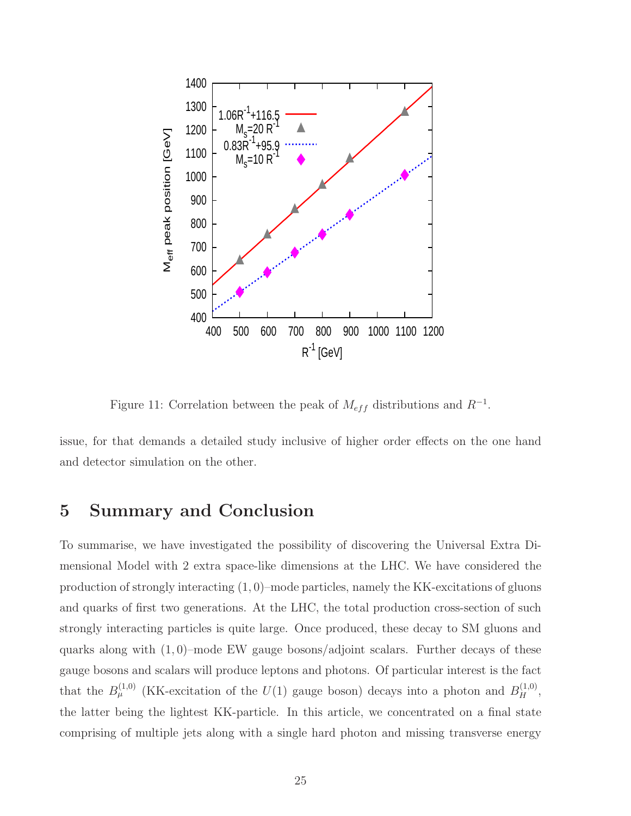

<span id="page-24-0"></span>Figure 11: Correlation between the peak of  $M_{eff}$  distributions and  $R^{-1}$ .

issue, for that demands a detailed study inclusive of higher order effects on the one hand and detector simulation on the other.

### 5 Summary and Conclusion

To summarise, we have investigated the possibility of discovering the Universal Extra Dimensional Model with 2 extra space-like dimensions at the LHC. We have considered the production of strongly interacting  $(1, 0)$ –mode particles, namely the KK-excitations of gluons and quarks of first two generations. At the LHC, the total production cross-section of such strongly interacting particles is quite large. Once produced, these decay to SM gluons and quarks along with  $(1, 0)$ –mode EW gauge bosons/adjoint scalars. Further decays of these gauge bosons and scalars will produce leptons and photons. Of particular interest is the fact that the  $B_{\mu}^{(1,0)}$  (KK-excitation of the  $U(1)$  gauge boson) decays into a photon and  $B_{H}^{(1,0)}$ , the latter being the lightest KK-particle. In this article, we concentrated on a final state comprising of multiple jets along with a single hard photon and missing transverse energy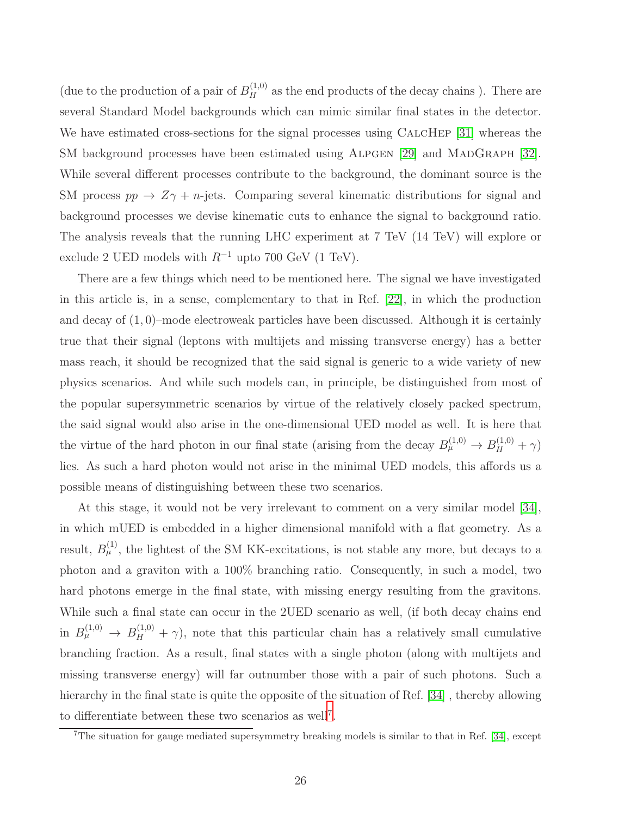(due to the production of a pair of  $B_H^{(1,0)}$  as the end products of the decay chains). There are several Standard Model backgrounds which can mimic similar final states in the detector. We have estimated cross-sections for the signal processes using CALCHEP [\[31\]](#page-28-3) whereas the SM background processes have been estimated using ALPGEN [\[29\]](#page-28-0) and MADGRAPH [\[32\]](#page-28-4). While several different processes contribute to the background, the dominant source is the SM process  $pp \rightarrow Z\gamma + n$ -jets. Comparing several kinematic distributions for signal and background processes we devise kinematic cuts to enhance the signal to background ratio. The analysis reveals that the running LHC experiment at 7 TeV (14 TeV) will explore or exclude 2 UED models with  $R^{-1}$  upto 700 GeV (1 TeV).

There are a few things which need to be mentioned here. The signal we have investigated in this article is, in a sense, complementary to that in Ref. [\[22\]](#page-27-11), in which the production and decay of  $(1,0)$ –mode electroweak particles have been discussed. Although it is certainly true that their signal (leptons with multijets and missing transverse energy) has a better mass reach, it should be recognized that the said signal is generic to a wide variety of new physics scenarios. And while such models can, in principle, be distinguished from most of the popular supersymmetric scenarios by virtue of the relatively closely packed spectrum, the said signal would also arise in the one-dimensional UED model as well. It is here that the virtue of the hard photon in our final state (arising from the decay  $B_{\mu}^{(1,0)} \to B_{H}^{(1,0)} + \gamma$ ) lies. As such a hard photon would not arise in the minimal UED models, this affords us a possible means of distinguishing between these two scenarios.

At this stage, it would not be very irrelevant to comment on a very similar model [\[34\]](#page-28-5), in which mUED is embedded in a higher dimensional manifold with a flat geometry. As a result,  $B_{\mu}^{(1)}$ , the lightest of the SM KK-excitations, is not stable any more, but decays to a photon and a graviton with a 100% branching ratio. Consequently, in such a model, two hard photons emerge in the final state, with missing energy resulting from the gravitons. While such a final state can occur in the 2UED scenario as well, (if both decay chains end in  $B_{\mu}^{(1,0)} \to B_{H}^{(1,0)} + \gamma$ , note that this particular chain has a relatively small cumulative branching fraction. As a result, final states with a single photon (along with multijets and missing transverse energy) will far outnumber those with a pair of such photons. Such a hierarchy in the final state is quite the opposite of the situation of Ref. [\[34\]](#page-28-5), thereby allowing to differentiate between these two scenarios as well[7](#page-25-0) .

<span id="page-25-0"></span><sup>7</sup>The situation for gauge mediated supersymmetry breaking models is similar to that in Ref. [\[34\]](#page-28-5), except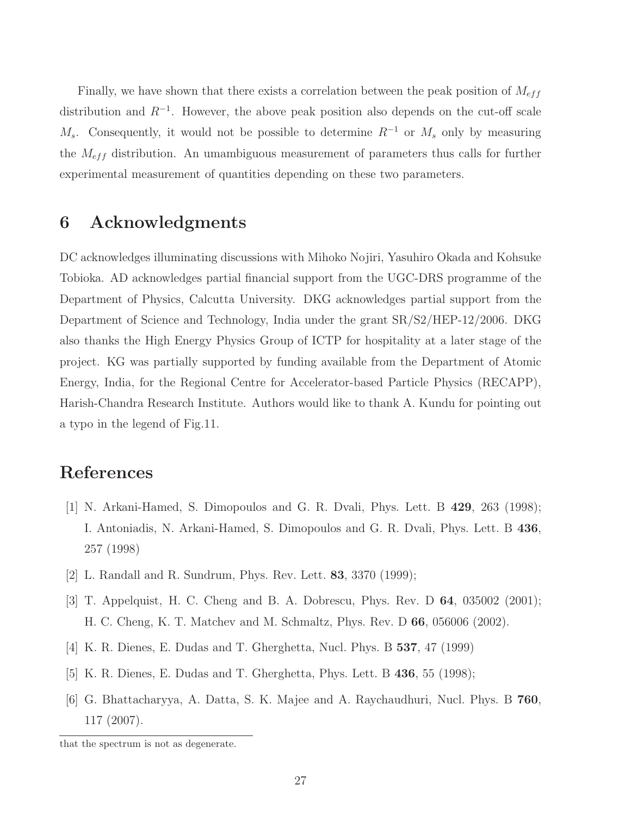Finally, we have shown that there exists a correlation between the peak position of  $M_{eff}$ distribution and  $R^{-1}$ . However, the above peak position also depends on the cut-off scale  $M_s$ . Consequently, it would not be possible to determine  $R^{-1}$  or  $M_s$  only by measuring the  $M_{eff}$  distribution. An umambiguous measurement of parameters thus calls for further experimental measurement of quantities depending on these two parameters.

### 6 Acknowledgments

DC acknowledges illuminating discussions with Mihoko Nojiri, Yasuhiro Okada and Kohsuke Tobioka. AD acknowledges partial financial support from the UGC-DRS programme of the Department of Physics, Calcutta University. DKG acknowledges partial support from the Department of Science and Technology, India under the grant SR/S2/HEP-12/2006. DKG also thanks the High Energy Physics Group of ICTP for hospitality at a later stage of the project. KG was partially supported by funding available from the Department of Atomic Energy, India, for the Regional Centre for Accelerator-based Particle Physics (RECAPP), Harish-Chandra Research Institute. Authors would like to thank A. Kundu for pointing out a typo in the legend of Fig.11.

## <span id="page-26-0"></span>References

- [1] N. Arkani-Hamed, S. Dimopoulos and G. R. Dvali, Phys. Lett. B 429, 263 (1998); I. Antoniadis, N. Arkani-Hamed, S. Dimopoulos and G. R. Dvali, Phys. Lett. B 436, 257 (1998)
- <span id="page-26-2"></span><span id="page-26-1"></span>[2] L. Randall and R. Sundrum, Phys. Rev. Lett. 83, 3370 (1999);
- <span id="page-26-3"></span>[3] T. Appelquist, H. C. Cheng and B. A. Dobrescu, Phys. Rev. D 64, 035002 (2001); H. C. Cheng, K. T. Matchev and M. Schmaltz, Phys. Rev. D 66, 056006 (2002).
- [4] K. R. Dienes, E. Dudas and T. Gherghetta, Nucl. Phys. B 537, 47 (1999)
- <span id="page-26-4"></span>[5] K. R. Dienes, E. Dudas and T. Gherghetta, Phys. Lett. B 436, 55 (1998);
- [6] G. Bhattacharyya, A. Datta, S. K. Majee and A. Raychaudhuri, Nucl. Phys. B 760, 117 (2007).

that the spectrum is not as degenerate.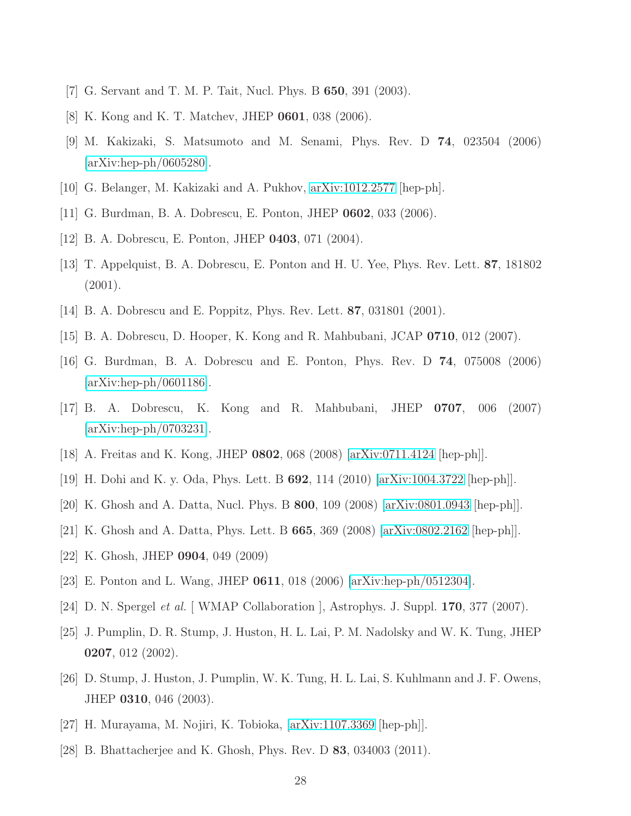- <span id="page-27-0"></span>[7] G. Servant and T. M. P. Tait, Nucl. Phys. B 650, 391 (2003).
- [8] K. Kong and K. T. Matchev, JHEP 0601, 038 (2006).
- <span id="page-27-1"></span>[9] M. Kakizaki, S. Matsumoto and M. Senami, Phys. Rev. D 74, 023504 (2006) [\[arXiv:hep-ph/0605280\]](http://arxiv.org/abs/hep-ph/0605280).
- <span id="page-27-2"></span>[10] G. Belanger, M. Kakizaki and A. Pukhov, [arXiv:1012.2577](http://arxiv.org/abs/1012.2577) [hep-ph].
- <span id="page-27-3"></span>[11] G. Burdman, B. A. Dobrescu, E. Ponton, JHEP 0602, 033 (2006).
- <span id="page-27-5"></span>[12] B. A. Dobrescu, E. Ponton, JHEP 0403, 071 (2004).
- <span id="page-27-6"></span>[13] T. Appelquist, B. A. Dobrescu, E. Ponton and H. U. Yee, Phys. Rev. Lett. 87, 181802 (2001).
- <span id="page-27-4"></span>[14] B. A. Dobrescu and E. Poppitz, Phys. Rev. Lett. 87, 031801 (2001).
- <span id="page-27-8"></span>[15] B. A. Dobrescu, D. Hooper, K. Kong and R. Mahbubani, JCAP 0710, 012 (2007).
- <span id="page-27-14"></span>[16] G. Burdman, B. A. Dobrescu and E. Ponton, Phys. Rev. D 74, 075008 (2006)  $\arXiv:hep-ph/0601186$ .
- <span id="page-27-9"></span>[17] B. A. Dobrescu, K. Kong and R. Mahbubani, JHEP 0707, 006 (2007) [\[arXiv:hep-ph/0703231\]](http://arxiv.org/abs/hep-ph/0703231).
- <span id="page-27-7"></span>[18] A. Freitas and K. Kong, JHEP 0802, 068 (2008) [\[arXiv:0711.4124](http://arxiv.org/abs/0711.4124) [hep-ph]].
- <span id="page-27-10"></span>[19] H. Dohi and K. y. Oda, Phys. Lett. B 692, 114 (2010) [\[arXiv:1004.3722](http://arxiv.org/abs/1004.3722) [hep-ph]].
- [20] K. Ghosh and A. Datta, Nucl. Phys. B 800, 109 (2008) [\[arXiv:0801.0943](http://arxiv.org/abs/0801.0943) [hep-ph]].
- <span id="page-27-11"></span>[21] K. Ghosh and A. Datta, Phys. Lett. B 665, 369 (2008) [\[arXiv:0802.2162](http://arxiv.org/abs/0802.2162) [hep-ph]].
- <span id="page-27-12"></span>[22] K. Ghosh, JHEP 0904, 049 (2009)
- <span id="page-27-13"></span>[23] E. Ponton and L. Wang, JHEP 0611, 018 (2006) [\[arXiv:hep-ph/0512304\]](http://arxiv.org/abs/hep-ph/0512304).
- <span id="page-27-15"></span>[24] D. N. Spergel *et al.* [WMAP Collaboration], Astrophys. J. Suppl. **170**, 377 (2007).
- <span id="page-27-16"></span>[25] J. Pumplin, D. R. Stump, J. Huston, H. L. Lai, P. M. Nadolsky and W. K. Tung, JHEP 0207, 012 (2002).
- <span id="page-27-18"></span>[26] D. Stump, J. Huston, J. Pumplin, W. K. Tung, H. L. Lai, S. Kuhlmann and J. F. Owens, JHEP 0310, 046 (2003).
- <span id="page-27-17"></span>[27] H. Murayama, M. Nojiri, K. Tobioka, [\[arXiv:1107.3369](http://arxiv.org/abs/1107.3369) [hep-ph]].
- [28] B. Bhattacherjee and K. Ghosh, Phys. Rev. D 83, 034003 (2011).